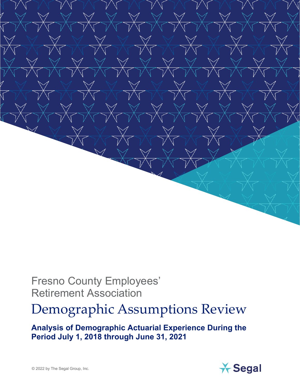

## Fresno County Employees' Retirement Association

## Demographic Assumptions Review

**Analysis of Demographic Actuarial Experience During the Period July 1, 2018 through June 31, 2021**

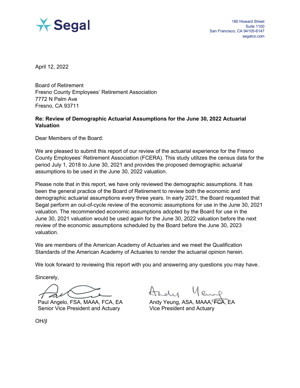

April 12, 2022

Board of Retirement Fresno County Employees' Retirement Association 7772 N Palm Ave Fresno, CA 93711

#### **Re: Review of Demographic Actuarial Assumptions for the June 30, 2022 Actuarial Valuation**

Dear Members of the Board:

We are pleased to submit this report of our review of the actuarial experience for the Fresno County Employees' Retirement Association (FCERA). This study utilizes the census data for the period July 1, 2018 to June 30, 2021 and provides the proposed demographic actuarial assumptions to be used in the June 30, 2022 valuation.

Please note that in this report, we have only reviewed the demographic assumptions. It has been the general practice of the Board of Retirement to review both the economic and demographic actuarial assumptions every three years. In early 2021, the Board requested that Segal perform an out-of-cycle review of the economic assumptions for use in the June 30, 2021 valuation. The recommended economic assumptions adopted by the Board for use in the June 30, 2021 valuation would be used again for the June 30, 2022 valuation before the next review of the economic assumptions scheduled by the Board before the June 30, 2023 valuation.

We are members of the American Academy of Actuaries and we meet the Qualification Standards of the American Academy of Actuaries to render the actuarial opinion herein.

We look forward to reviewing this report with you and answering any questions you may have.

Sincerely,

Paul Angelo, FSA, MAAA, FCA, EA Senior Vice President and Actuary

Andy Yeung, ASA, MAAA, FCA, EA Vice President and Actuary

OH/jl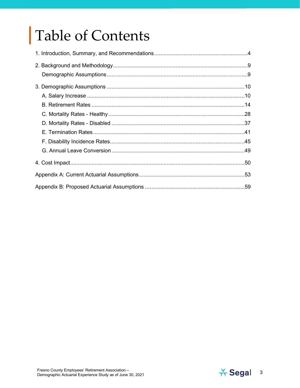# Table of Contents

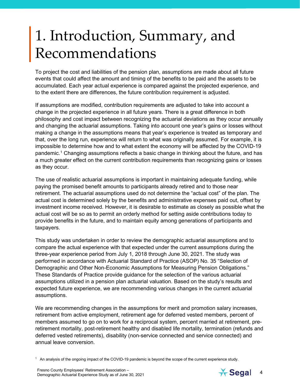## <span id="page-3-0"></span>1. Introduction, Summary, and Recommendations

To project the cost and liabilities of the pension plan, assumptions are made about all future events that could affect the amount and timing of the benefits to be paid and the assets to be accumulated. Each year actual experience is compared against the projected experience, and to the extent there are differences, the future contribution requirement is adjusted.

If assumptions are modified, contribution requirements are adjusted to take into account a change in the projected experience in all future years. There is a great difference in both philosophy and cost impact between recognizing the actuarial deviations as they occur annually and changing the actuarial assumptions. Taking into account one year's gains or losses without making a change in the assumptions means that year's experience is treated as temporary and that, over the long run, experience will return to what was originally assumed. For example, it is impossible to determine how and to what extent the economy will be affected by the COVID-19 pandemic. [1](#page-3-1) Changing assumptions reflects a basic change in thinking about the future, and has a much greater effect on the current contribution requirements than recognizing gains or losses as they occur.

The use of realistic actuarial assumptions is important in maintaining adequate funding, while paying the promised benefit amounts to participants already retired and to those near retirement. The actuarial assumptions used do not determine the "actual cost" of the plan. The actual cost is determined solely by the benefits and administrative expenses paid out, offset by investment income received. However, it is desirable to estimate as closely as possible what the actual cost will be so as to permit an orderly method for setting aside contributions today to provide benefits in the future, and to maintain equity among generations of participants and taxpayers.

This study was undertaken in order to review the demographic actuarial assumptions and to compare the actual experience with that expected under the current assumptions during the three-year experience period from July 1, 2018 through June 30, 2021. The study was performed in accordance with Actuarial Standard of Practice (ASOP) No. 35 "Selection of Demographic and Other Non-Economic Assumptions for Measuring Pension Obligations." These Standards of Practice provide guidance for the selection of the various actuarial assumptions utilized in a pension plan actuarial valuation. Based on the study's results and expected future experience, we are recommending various changes in the current actuarial assumptions.

We are recommending changes in the assumptions for merit and promotion salary increases, retirement from active employment, retirement age for deferred vested members, percent of members assumed to go on to work for a reciprocal system, percent married at retirement, preretirement mortality, post-retirement healthy and disabled life mortality, termination (refunds and deferred vested retirements), disability (non-service connected and service connected) and annual leave conversion.

<span id="page-3-1"></span>1 An analysis of the ongoing impact of the COVID-19 pandemic is beyond the scope of the current experience study.

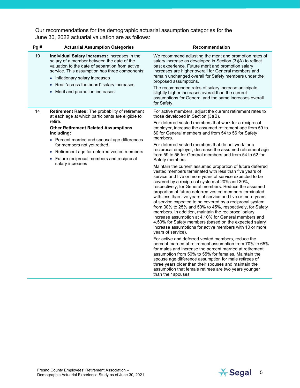Our recommendations for the demographic actuarial assumption categories for the June 30, 2022 actuarial valuation are as follows:

| Pg# | <b>Actuarial Assumption Categories</b>                                                                                                                                                                                                                                                                                                                                         | <b>Recommendation</b>                                                                                                                                                                                                                                                                                                                                                                                                                                                                                                                                                                                                                                                                                                                                                                                                                                                                                                                                                                                                                                                                                                                                                                                                                                                                                                                                                                                                                                                                                                                                                                                                                                                                                                                         |
|-----|--------------------------------------------------------------------------------------------------------------------------------------------------------------------------------------------------------------------------------------------------------------------------------------------------------------------------------------------------------------------------------|-----------------------------------------------------------------------------------------------------------------------------------------------------------------------------------------------------------------------------------------------------------------------------------------------------------------------------------------------------------------------------------------------------------------------------------------------------------------------------------------------------------------------------------------------------------------------------------------------------------------------------------------------------------------------------------------------------------------------------------------------------------------------------------------------------------------------------------------------------------------------------------------------------------------------------------------------------------------------------------------------------------------------------------------------------------------------------------------------------------------------------------------------------------------------------------------------------------------------------------------------------------------------------------------------------------------------------------------------------------------------------------------------------------------------------------------------------------------------------------------------------------------------------------------------------------------------------------------------------------------------------------------------------------------------------------------------------------------------------------------------|
| 10  | Individual Salary Increases: Increases in the<br>salary of a member between the date of the<br>valuation to the date of separation from active<br>service. This assumption has three components:<br>• Inflationary salary increases<br>Real "across the board" salary increases<br>• Merit and promotion increases                                                             | We recommend adjusting the merit and promotion rates of<br>salary increase as developed in Section (3)(A) to reflect<br>past experience. Future merit and promotion salary<br>increases are higher overall for General members and<br>remain unchanged overall for Safety members under the<br>proposed assumptions.<br>The recommended rates of salary increase anticipate<br>slightly higher increases overall than the current<br>assumptions for General and the same increases overall<br>for Safety.                                                                                                                                                                                                                                                                                                                                                                                                                                                                                                                                                                                                                                                                                                                                                                                                                                                                                                                                                                                                                                                                                                                                                                                                                                    |
| 14  | Retirement Rates: The probability of retirement<br>at each age at which participants are eligible to<br>retire.<br><b>Other Retirement Related Assumptions</b><br>including:<br>• Percent married and spousal age differences<br>for members not yet retired<br>• Retirement age for deferred vested members<br>• Future reciprocal members and reciprocal<br>salary increases | For active members, adjust the current retirement rates to<br>those developed in Section (3)(B).<br>For deferred vested members that work for a reciprocal<br>employer, increase the assumed retirement age from 59 to<br>60 for General members and from 54 to 56 for Safety<br>members.<br>For deferred vested members that do not work for a<br>reciprocal employer, decrease the assumed retirement age<br>from 59 to 56 for General members and from 54 to 52 for<br>Safety members.<br>Maintain the current assumed proportion of future deferred<br>vested members terminated with less than five years of<br>service and five or more years of service expected to be<br>covered by a reciprocal system at 20% and 30%,<br>respectively, for General members. Reduce the assumed<br>proportion of future deferred vested members terminated<br>with less than five years of service and five or more years<br>of service expected to be covered by a reciprocal system<br>from 30% to 25% and 50% to 45%, respectively, for Safety<br>members. In addition, maintain the reciprocal salary<br>increase assumption at 4.10% for General members and<br>4.50% for Safety members (based on the expected salary<br>increase assumptions for active members with 10 or more<br>years of service).<br>For active and deferred vested members, reduce the<br>percent married at retirement assumption from 70% to 65%<br>for males and increase the percent married at retirement<br>assumption from 50% to 55% for females. Maintain the<br>spouse age difference assumption for male retirees of<br>three years older than their spouses and maintain the<br>assumption that female retirees are two years younger<br>than their spouses. |

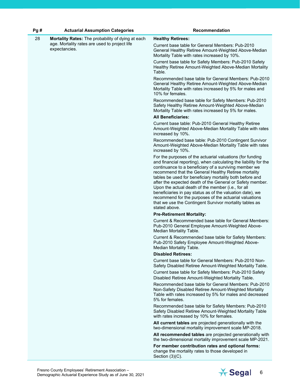| Pg# | <b>Actuarial Assumption Categories</b>                         | Recommendation                                                                                                                                                                                                                                                                                                                                                                                                                                                                                                                                                                                                                   |  |  |
|-----|----------------------------------------------------------------|----------------------------------------------------------------------------------------------------------------------------------------------------------------------------------------------------------------------------------------------------------------------------------------------------------------------------------------------------------------------------------------------------------------------------------------------------------------------------------------------------------------------------------------------------------------------------------------------------------------------------------|--|--|
| 28  | Mortality Rates: The probability of dying at each              | <b>Healthy Retirees:</b>                                                                                                                                                                                                                                                                                                                                                                                                                                                                                                                                                                                                         |  |  |
|     | age. Mortality rates are used to project life<br>expectancies. | Current base table for General Members: Pub-2010<br>General Healthy Retiree Amount-Weighted Above-Median<br>Mortality Table with rates increased by 10%.                                                                                                                                                                                                                                                                                                                                                                                                                                                                         |  |  |
|     |                                                                | Current base table for Safety Members: Pub-2010 Safety<br>Healthy Retiree Amount-Weighted Above-Median Mortality<br>Table.                                                                                                                                                                                                                                                                                                                                                                                                                                                                                                       |  |  |
|     |                                                                | Recommended base table for General Members: Pub-2010<br>General Healthy Retiree Amount-Weighted Above-Median<br>Mortality Table with rates increased by 5% for males and<br>10% for females.                                                                                                                                                                                                                                                                                                                                                                                                                                     |  |  |
|     |                                                                | Recommended base table for Safety Members: Pub-2010<br>Safety Healthy Retiree Amount-Weighted Above-Median<br>Mortality Table with rates increased by 5% for males.                                                                                                                                                                                                                                                                                                                                                                                                                                                              |  |  |
|     |                                                                | <b>All Beneficiaries:</b>                                                                                                                                                                                                                                                                                                                                                                                                                                                                                                                                                                                                        |  |  |
|     |                                                                | Current base table: Pub-2010 General Healthy Retiree<br>Amount-Weighted Above-Median Mortality Table with rates<br>increased by 10%.                                                                                                                                                                                                                                                                                                                                                                                                                                                                                             |  |  |
|     |                                                                | Recommended base table: Pub-2010 Contingent Survivor<br>Amount-Weighted Above-Median Mortality Table with rates<br>increased by 10%.                                                                                                                                                                                                                                                                                                                                                                                                                                                                                             |  |  |
|     |                                                                | For the purposes of the actuarial valuations (for funding<br>and financial reporting), when calculating the liability for the<br>continuance to a beneficiary of a surviving member we<br>recommend that the General Healthy Retiree mortality<br>tables be used for beneficiary mortality both before and<br>after the expected death of the General or Safety member.<br>Upon the actual death of the member (i.e., for all<br>beneficiaries in pay status as of the valuation date), we<br>recommend for the purposes of the actuarial valuations<br>that we use the Contingent Survivor mortality tables as<br>stated above. |  |  |
|     |                                                                | <b>Pre-Retirement Mortality:</b>                                                                                                                                                                                                                                                                                                                                                                                                                                                                                                                                                                                                 |  |  |
|     |                                                                | Current & Recommended base table for General Members:<br>Pub-2010 General Employee Amount-Weighted Above-<br>Median Mortality Table.                                                                                                                                                                                                                                                                                                                                                                                                                                                                                             |  |  |
|     |                                                                | Current & Recommended base table for Safety Members:<br>Pub-2010 Safety Employee Amount-Weighted Above-<br>Median Mortality Table.                                                                                                                                                                                                                                                                                                                                                                                                                                                                                               |  |  |
|     |                                                                | <b>Disabled Retirees:</b>                                                                                                                                                                                                                                                                                                                                                                                                                                                                                                                                                                                                        |  |  |
|     |                                                                | Current base table for General Members: Pub-2010 Non-<br>Safety Disabled Retiree Amount-Weighted Mortality Table.                                                                                                                                                                                                                                                                                                                                                                                                                                                                                                                |  |  |
|     |                                                                | Current base table for Safety Members: Pub-2010 Safety<br>Disabled Retiree Amount-Weighted Mortality Table.                                                                                                                                                                                                                                                                                                                                                                                                                                                                                                                      |  |  |
|     |                                                                | Recommended base table for General Members: Pub-2010<br>Non-Safety Disabled Retiree Amount-Weighted Mortality<br>Table with rates increased by 5% for males and decreased<br>5% for females.                                                                                                                                                                                                                                                                                                                                                                                                                                     |  |  |
|     |                                                                | Recommended base table for Safety Members: Pub-2010<br>Safety Disabled Retiree Amount-Weighted Mortality Table<br>with rates increased by 10% for females.                                                                                                                                                                                                                                                                                                                                                                                                                                                                       |  |  |
|     |                                                                | All current tables are projected generationally with the<br>two-dimensional mortality improvement scale MP-2018.                                                                                                                                                                                                                                                                                                                                                                                                                                                                                                                 |  |  |
|     |                                                                | All recommended tables are projected generationally with<br>the two-dimensional mortality improvement scale MP-2021.                                                                                                                                                                                                                                                                                                                                                                                                                                                                                                             |  |  |
|     |                                                                | For member contribution rates and optional forms:<br>change the mortality rates to those developed in<br>Section $(3)(C)$ .                                                                                                                                                                                                                                                                                                                                                                                                                                                                                                      |  |  |

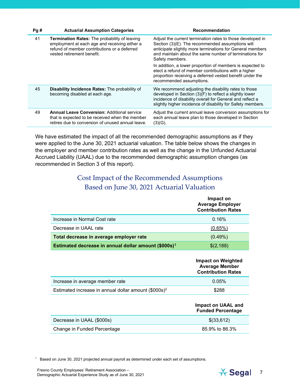| Pg# | <b>Actuarial Assumption Categories</b>                                                                                                                                              | Recommendation                                                                                                                                                                                                                                           |
|-----|-------------------------------------------------------------------------------------------------------------------------------------------------------------------------------------|----------------------------------------------------------------------------------------------------------------------------------------------------------------------------------------------------------------------------------------------------------|
| 41  | <b>Termination Rates:</b> The probability of leaving<br>employment at each age and receiving either a<br>refund of member contributions or a deferred<br>vested retirement benefit. | Adjust the current termination rates to those developed in<br>Section (3)(E). The recommended assumptions will<br>anticipate slightly more terminations for General members<br>and maintain about the same number of terminations for<br>Safety members. |
|     |                                                                                                                                                                                     | In addition, a lower proportion of members is expected to<br>elect a refund of member contributions with a higher<br>proportion receiving a deferred vested benefit under the<br>recommended assumptions.                                                |
| 45  | <b>Disability Incidence Rates:</b> The probability of<br>becoming disabled at each age.                                                                                             | We recommend adjusting the disability rates to those<br>developed in Section (3)(F) to reflect a slightly lower<br>incidence of disability overall for General and reflect a<br>slightly higher incidence of disability for Safety members.              |
| 49  | <b>Annual Leave Conversion: Additional service</b><br>that is expected to be received when the member<br>retires due to conversion of unused annual leave.                          | Adjust the current annual leave conversion assumptions for<br>each annual leave plan to those developed in Section<br>(3)(G).                                                                                                                            |

We have estimated the impact of all the recommended demographic assumptions as if they were applied to the June 30, 2021 actuarial valuation. The table below shows the changes in the employer and member contribution rates as well as the change in the Unfunded Actuarial Accrued Liability (UAAL) due to the recommended demographic assumption changes (as recommended in Section 3 of this report).

#### <span id="page-6-0"></span>Cost Impact of the Recommended Assumptions Based on June 30, 2021 Actuarial Valuation

|                                                                  | Impact on<br><b>Average Employer</b><br><b>Contribution Rates</b>        |
|------------------------------------------------------------------|--------------------------------------------------------------------------|
| Increase in Normal Cost rate                                     | 0.16%                                                                    |
| Decrease in UAAL rate                                            | (0.65%)                                                                  |
| Total decrease in average employer rate                          | $(0.49\%)$                                                               |
| Estimated decrease in annual dollar amount (\$000s) <sup>1</sup> | \$(2,188)                                                                |
|                                                                  | Impact on Weighted<br><b>Average Member</b><br><b>Contribution Rates</b> |
| Increase in average member rate                                  | 0.05%                                                                    |
| Estimated increase in annual dollar amount (\$000s) <sup>2</sup> | \$288                                                                    |
|                                                                  | <b>Impact on UAAL and</b><br><b>Funded Percentage</b>                    |
| Decrease in UAAL (\$000s)                                        |                                                                          |
|                                                                  | \$(33,612)                                                               |

<span id="page-6-1"></span><sup>1</sup> Based on June 30, 2021 projected annual payroll as determined under each set of assumptions.

Fresno County Employees' Retirement Association – Fresno County Employees' Retirement Association –<br>Demographic Actuarial Experience Study as of June 30, 2021 7

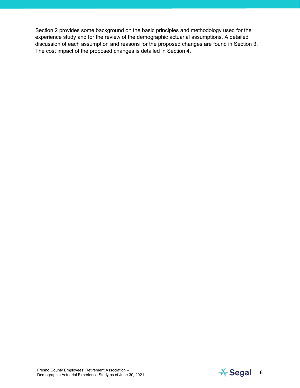Section 2 provides some background on the basic principles and methodology used for the experience study and for the review of the demographic actuarial assumptions. A detailed discussion of each assumption and reasons for the proposed changes are found in Section 3. The cost impact of the proposed changes is detailed in Section 4.

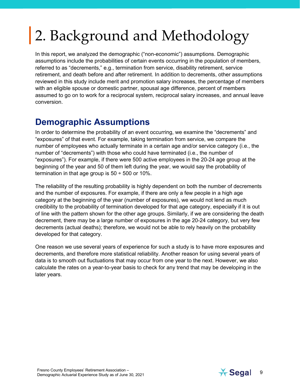# <span id="page-8-0"></span>2. Background and Methodology

In this report, we analyzed the demographic ("non-economic") assumptions. Demographic assumptions include the probabilities of certain events occurring in the population of members, referred to as "decrements," e.g., termination from service, disability retirement, service retirement, and death before and after retirement. In addition to decrements, other assumptions reviewed in this study include merit and promotion salary increases, the percentage of members with an eligible spouse or domestic partner, spousal age difference, percent of members assumed to go on to work for a reciprocal system, reciprocal salary increases, and annual leave conversion.

## <span id="page-8-1"></span>**Demographic Assumptions**

In order to determine the probability of an event occurring, we examine the "decrements" and "exposures" of that event. For example, taking termination from service, we compare the number of employees who actually terminate in a certain age and/or service category (i.e., the number of "decrements") with those who could have terminated (i.e., the number of "exposures"). For example, if there were 500 active employees in the 20-24 age group at the beginning of the year and 50 of them left during the year, we would say the probability of termination in that age group is  $50 \div 500$  or 10%.

The reliability of the resulting probability is highly dependent on both the number of decrements and the number of exposures. For example, if there are only a few people in a high age category at the beginning of the year (number of exposures), we would not lend as much credibility to the probability of termination developed for that age category, especially if it is out of line with the pattern shown for the other age groups. Similarly, if we are considering the death decrement, there may be a large number of exposures in the age 20-24 category, but very few decrements (actual deaths); therefore, we would not be able to rely heavily on the probability developed for that category.

One reason we use several years of experience for such a study is to have more exposures and decrements, and therefore more statistical reliability. Another reason for using several years of data is to smooth out fluctuations that may occur from one year to the next. However, we also calculate the rates on a year-to-year basis to check for any trend that may be developing in the later years.

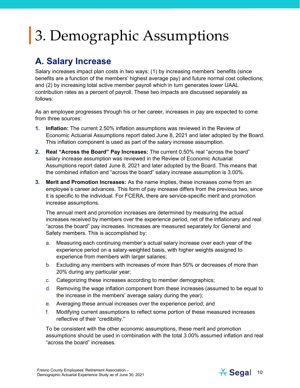## <span id="page-9-0"></span>3. Demographic Assumptions

## <span id="page-9-1"></span>**A. Salary Increase**

Salary increases impact plan costs in two ways: (1) by increasing members' benefits (since benefits are a function of the members' highest average pay) and future normal cost collections; and (2) by increasing total active member payroll which in turn generates lower UAAL contribution rates as a percent of payroll. These two impacts are discussed separately as follows:

As an employee progresses through his or her career, increases in pay are expected to come from three sources:

- **1. Inflation:** The current 2.50% inflation assumptions was reviewed in the Review of Economic Actuarial Assumptions report dated June 8, 2021 and later adopted by the Board. This inflation component is used as part of the salary increase assumption.
- **2. Real "Across the Board" Pay Increases:** The current 0.50% real "across the board" salary increase assumption was reviewed in the Review of Economic Actuarial Assumptions report dated June 8, 2021 and later adopted by the Board. This means that the combined inflation and "across the board" salary increase assumption is 3.00%.
- **3. Merit and Promotion Increases:** As the name implies, these increases come from an employee's career advances. This form of pay increase differs from the previous two, since it is specific to the individual. For FCERA, there are service-specific merit and promotion increase assumptions.

The annual merit and promotion increases are determined by measuring the actual increases received by members over the experience period, net of the inflationary and real "across the board" pay increases. Increases are measured separately for General and Safety members. This is accomplished by:

- a. Measuring each continuing member's actual salary increase over each year of the experience period on a salary-weighted basis, with higher weights assigned to experience from members with larger salaries;
- b. Excluding any members with increases of more than 50% or decreases of more than 20% during any particular year;
- c. Categorizing these increases according to member demographics;
- d. Removing the wage inflation component from these increases (assumed to be equal to the increase in the members' average salary during the year);
- e. Averaging these annual increases over the experience period; and
- f. Modifying current assumptions to reflect some portion of these measured increases reflective of their "credibility."

To be consistent with the other economic assumptions, these merit and promotion assumptions should be used in combination with the total 3.00% assumed inflation and real "across the board" increases.

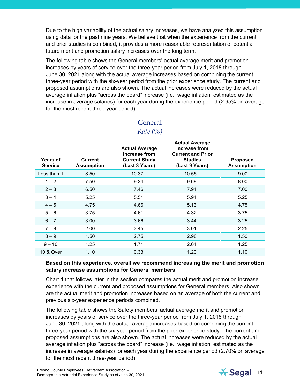Due to the high variability of the actual salary increases, we have analyzed this assumption using data for the past nine years. We believe that when the experience from the current and prior studies is combined, it provides a more reasonable representation of potential future merit and promotion salary increases over the long term.

The following table shows the General members' actual average merit and promotion increases by years of service over the three-year period from July 1, 2018 through June 30, 2021 along with the actual average increases based on combining the current three-year period with the six-year period from the prior experience study. The current and proposed assumptions are also shown. The actual increases were reduced by the actual average inflation plus "across the board" increase (i.e., wage inflation, estimated as the increase in average salaries) for each year during the experience period (2.95% on average for the most recent three-year period).

| General |
|---------|
|---------|

#### *Rate (%)*

| <b>Years of</b><br><b>Service</b> | Current<br><b>Assumption</b> | <b>Actual Average</b><br>Increase from<br><b>Current Study</b><br>(Last 3 Years) | <b>Actual Average</b><br>Increase from<br><b>Current and Prior</b><br><b>Studies</b><br>(Last 9 Years) | <b>Proposed</b><br><b>Assumption</b> |
|-----------------------------------|------------------------------|----------------------------------------------------------------------------------|--------------------------------------------------------------------------------------------------------|--------------------------------------|
| Less than 1                       | 8.50                         | 10.37                                                                            | 10.55                                                                                                  | 9.00                                 |
| $1 - 2$                           | 7.50                         | 9.24                                                                             | 9.68                                                                                                   | 8.00                                 |
| $2 - 3$                           | 6.50                         | 7.46                                                                             | 7.94                                                                                                   | 7.00                                 |
| $3 - 4$                           | 5.25                         | 5.51                                                                             | 5.94                                                                                                   | 5.25                                 |
| $4 - 5$                           | 4.75                         | 4.66                                                                             | 5.13                                                                                                   | 4.75                                 |
| $5 - 6$                           | 3.75                         | 4.61                                                                             | 4.32                                                                                                   | 3.75                                 |
| $6 - 7$                           | 3.00                         | 3.66                                                                             | 3.44                                                                                                   | 3.25                                 |
| $7 - 8$                           | 2.00                         | 3.45                                                                             | 3.01                                                                                                   | 2.25                                 |
| $8 - 9$                           | 1.50                         | 2.75                                                                             | 2.98                                                                                                   | 1.50                                 |
| $9 - 10$                          | 1.25                         | 1.71                                                                             | 2.04                                                                                                   | 1.25                                 |
| 10 & Over                         | 1.10                         | 0.33                                                                             | 1.20                                                                                                   | 1.10                                 |

#### **Based on this experience, overall we recommend increasing the merit and promotion salary increase assumptions for General members.**

Chart 1 that follows later in the section compares the actual merit and promotion increase experience with the current and proposed assumptions for General members. Also shown are the actual merit and promotion increases based on an average of both the current and previous six-year experience periods combined.

The following table shows the Safety members' actual average merit and promotion increases by years of service over the three-year period from July 1, 2018 through June 30, 2021 along with the actual average increases based on combining the current three-year period with the six-year period from the prior experience study. The current and proposed assumptions are also shown. The actual increases were reduced by the actual average inflation plus "across the board" increase (i.e., wage inflation, estimated as the increase in average salaries) for each year during the experience period (2.70% on average for the most recent three-year period).

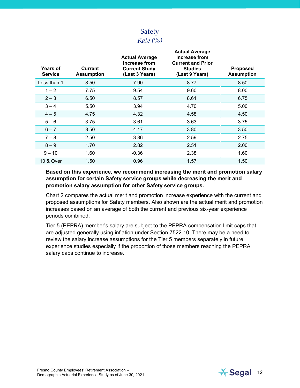

| <b>Years of</b><br><b>Service</b> | <b>Current</b><br><b>Assumption</b> | <b>Actual Average</b><br><b>Increase from</b><br><b>Current Study</b><br>(Last 3 Years) | <b>Actual Average</b><br>Increase from<br><b>Current and Prior</b><br><b>Studies</b><br>(Last 9 Years) | <b>Proposed</b><br><b>Assumption</b> |
|-----------------------------------|-------------------------------------|-----------------------------------------------------------------------------------------|--------------------------------------------------------------------------------------------------------|--------------------------------------|
| Less than 1                       | 8.50                                | 7.90                                                                                    | 8.77                                                                                                   | 8.50                                 |
| $1 - 2$                           | 7.75                                | 9.54                                                                                    | 9.60                                                                                                   | 8.00                                 |
| $2 - 3$                           | 6.50                                | 8.57                                                                                    | 8.61                                                                                                   | 6.75                                 |
| $3 - 4$                           | 5.50                                | 3.94                                                                                    | 4.70                                                                                                   | 5.00                                 |
| $4 - 5$                           | 4.75                                | 4.32                                                                                    | 4.58                                                                                                   | 4.50                                 |
| $5 - 6$                           | 3.75                                | 3.61                                                                                    | 3.63                                                                                                   | 3.75                                 |
| $6 - 7$                           | 3.50                                | 4.17                                                                                    | 3.80                                                                                                   | 3.50                                 |
| $7 - 8$                           | 2.50                                | 3.86                                                                                    | 2.59                                                                                                   | 2.75                                 |
| $8 - 9$                           | 1.70                                | 2.82                                                                                    | 2.51                                                                                                   | 2.00                                 |
| $9 - 10$                          | 1.60                                | $-0.36$                                                                                 | 2.38                                                                                                   | 1.60                                 |
| <b>10 &amp; Over</b>              | 1.50                                | 0.96                                                                                    | 1.57                                                                                                   | 1.50                                 |
|                                   |                                     |                                                                                         |                                                                                                        |                                      |

**Based on this experience, we recommend increasing the merit and promotion salary assumption for certain Safety service groups while decreasing the merit and promotion salary assumption for other Safety service groups.** 

Chart 2 compares the actual merit and promotion increase experience with the current and proposed assumptions for Safety members. Also shown are the actual merit and promotion increases based on an average of both the current and previous six-year experience periods combined.

Tier 5 (PEPRA) member's salary are subject to the PEPRA compensation limit caps that are adjusted generally using inflation under Section 7522.10. There may be a need to review the salary increase assumptions for the Tier 5 members separately in future experience studies especially if the proportion of those members reaching the PEPRA salary caps continue to increase.

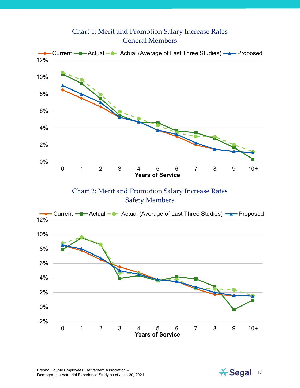#### Chart 1: Merit and Promotion Salary Increase Rates General Members



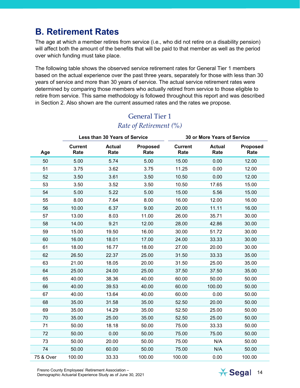## <span id="page-13-0"></span>**B. Retirement Rates**

The age at which a member retires from service (i.e., who did not retire on a disability pension) will affect both the amount of the benefits that will be paid to that member as well as the period over which funding must take place.

The following table shows the observed service retirement rates for General Tier 1 members based on the actual experience over the past three years, separately for those with less than 30 years of service and more than 30 years of service. The actual service retirement rates were determined by comparing those members who actually retired from service to those eligible to retire from service. This same methodology is followed throughout this report and was described in Section 2. Also shown are the current assumed rates and the rates we propose.

|           | Less than 30 Years of Service |                       | 30 or More Years of Service |                        |                       |                         |
|-----------|-------------------------------|-----------------------|-----------------------------|------------------------|-----------------------|-------------------------|
| Age       | <b>Current</b><br>Rate        | <b>Actual</b><br>Rate | <b>Proposed</b><br>Rate     | <b>Current</b><br>Rate | <b>Actual</b><br>Rate | <b>Proposed</b><br>Rate |
| 50        | 5.00                          | 5.74                  | 5.00                        | 15.00                  | 0.00                  | 12.00                   |
| 51        | 3.75                          | 3.62                  | 3.75                        | 11.25                  | 0.00                  | 12.00                   |
| 52        | 3.50                          | 3.61                  | 3.50                        | 10.50                  | 0.00                  | 12.00                   |
| 53        | 3.50                          | 3.52                  | 3.50                        | 10.50                  | 17.65                 | 15.00                   |
| 54        | 5.00                          | 5.22                  | 5.00                        | 15.00                  | 5.56                  | 15.00                   |
| 55        | 8.00                          | 7.64                  | 8.00                        | 16.00                  | 12.00                 | 16.00                   |
| 56        | 10.00                         | 6.37                  | 9.00                        | 20.00                  | 11.11                 | 16.00                   |
| 57        | 13.00                         | 8.03                  | 11.00                       | 26.00                  | 35.71                 | 30.00                   |
| 58        | 14.00                         | 9.21                  | 12.00                       | 28.00                  | 42.86                 | 30.00                   |
| 59        | 15.00                         | 19.50                 | 16.00                       | 30.00                  | 51.72                 | 30.00                   |
| 60        | 16.00                         | 18.01                 | 17.00                       | 24.00                  | 33.33                 | 30.00                   |
| 61        | 18.00                         | 16.77                 | 18.00                       | 27.00                  | 20.00                 | 30.00                   |
| 62        | 26.50                         | 22.37                 | 25.00                       | 31.50                  | 33.33                 | 35.00                   |
| 63        | 21.00                         | 18.05                 | 20.00                       | 31.50                  | 25.00                 | 35.00                   |
| 64        | 25.00                         | 24.00                 | 25.00                       | 37.50                  | 37.50                 | 35.00                   |
| 65        | 40.00                         | 38.36                 | 40.00                       | 60.00                  | 50.00                 | 50.00                   |
| 66        | 40.00                         | 39.53                 | 40.00                       | 60.00                  | 100.00                | 50.00                   |
| 67        | 40.00                         | 13.64                 | 40.00                       | 60.00                  | 0.00                  | 50.00                   |
| 68        | 35.00                         | 31.58                 | 35.00                       | 52.50                  | 20.00                 | 50.00                   |
| 69        | 35.00                         | 14.29                 | 35.00                       | 52.50                  | 25.00                 | 50.00                   |
| 70        | 35.00                         | 25.00                 | 35.00                       | 52.50                  | 25.00                 | 50.00                   |
| 71        | 50.00                         | 18.18                 | 50.00                       | 75.00                  | 33.33                 | 50.00                   |
| 72        | 50.00                         | 0.00                  | 50.00                       | 75.00                  | 75.00                 | 50.00                   |
| 73        | 50.00                         | 20.00                 | 50.00                       | 75.00                  | N/A                   | 50.00                   |
| 74        | 50.00                         | 60.00                 | 50.00                       | 75.00                  | N/A                   | 50.00                   |
| 75 & Over | 100.00                        | 33.33                 | 100.00                      | 100.00                 | 0.00                  | 100.00                  |

#### General Tier 1 *Rate of Retirement (%)*

Fresno County Employees' Retirement Association – Fresno County Employees' Retirement Association –<br>Demographic Actuarial Experience Study as of June 30, 2021 14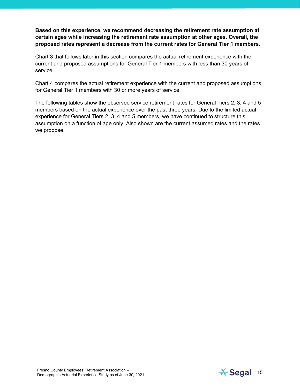#### **Based on this experience, we recommend decreasing the retirement rate assumption at certain ages while increasing the retirement rate assumption at other ages. Overall, the proposed rates represent a decrease from the current rates for General Tier 1 members.**

Chart 3 that follows later in this section compares the actual retirement experience with the current and proposed assumptions for General Tier 1 members with less than 30 years of service.

Chart 4 compares the actual retirement experience with the current and proposed assumptions for General Tier 1 members with 30 or more years of service.

The following tables show the observed service retirement rates for General Tiers 2, 3, 4 and 5 members based on the actual experience over the past three years. Due to the limited actual experience for General Tiers 2, 3, 4 and 5 members, we have continued to structure this assumption on a function of age only. Also shown are the current assumed rates and the rates we propose.

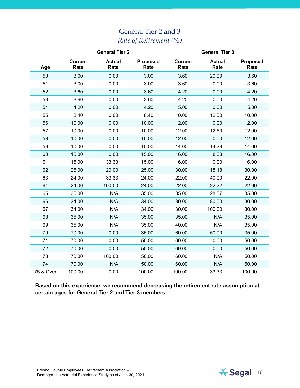### General Tier 2 and 3 *Rate of Retirement (%)*

|           | <b>General Tier 2</b>  |                       | <b>General Tier 3</b>   |                        |                       |                         |
|-----------|------------------------|-----------------------|-------------------------|------------------------|-----------------------|-------------------------|
| Age       | <b>Current</b><br>Rate | <b>Actual</b><br>Rate | <b>Proposed</b><br>Rate | <b>Current</b><br>Rate | <b>Actual</b><br>Rate | <b>Proposed</b><br>Rate |
| 50        | 3.00                   | 0.00                  | 3.00                    | 3.60                   | 20.00                 | 3.60                    |
| 51        | 3.00                   | 0.00                  | 3.00                    | 3.60                   | 0.00                  | 3.60                    |
| 52        | 3.60                   | 0.00                  | 3.60                    | 4.20                   | 0.00                  | 4.20                    |
| 53        | 3.60                   | 0.00                  | 3.60                    | 4.20                   | 0.00                  | 4.20                    |
| 54        | 4.20                   | 0.00                  | 4.20                    | 5.00                   | 0.00                  | 5.00                    |
| 55        | 8.40                   | 0.00                  | 8.40                    | 10.00                  | 12.50                 | 10.00                   |
| 56        | 10.00                  | 0.00                  | 10.00                   | 12.00                  | 0.00                  | 12.00                   |
| 57        | 10.00                  | 0.00                  | 10.00                   | 12.00                  | 12.50                 | 12.00                   |
| 58        | 10.00                  | 0.00                  | 10.00                   | 12.00                  | 0.00                  | 12.00                   |
| 59        | 10.00                  | 0.00                  | 10.00                   | 14.00                  | 14.29                 | 14.00                   |
| 60        | 15.00                  | 0.00                  | 15.00                   | 16.00                  | 8.33                  | 16.00                   |
| 61        | 15.00                  | 33.33                 | 15.00                   | 16.00                  | 0.00                  | 16.00                   |
| 62        | 25.00                  | 20.00                 | 25.00                   | 30.00                  | 18.18                 | 30.00                   |
| 63        | 24.00                  | 33.33                 | 24.00                   | 22.00                  | 40.00                 | 22.00                   |
| 64        | 24.00                  | 100.00                | 24.00                   | 22.00                  | 22.22                 | 22.00                   |
| 65        | 35.00                  | N/A                   | 35.00                   | 35.00                  | 28.57                 | 35.00                   |
| 66        | 34.00                  | N/A                   | 34.00                   | 30.00                  | 80.00                 | 30.00                   |
| 67        | 34.00                  | N/A                   | 34.00                   | 30.00                  | 100.00                | 30.00                   |
| 68        | 35.00                  | N/A                   | 35.00                   | 35.00                  | N/A                   | 35.00                   |
| 69        | 35.00                  | N/A                   | 35.00                   | 40.00                  | N/A                   | 35.00                   |
| 70        | 70.00                  | 0.00                  | 35.00                   | 60.00                  | 50.00                 | 35.00                   |
| 71        | 70.00                  | 0.00                  | 50.00                   | 60.00                  | 0.00                  | 50.00                   |
| 72        | 70.00                  | 0.00                  | 50.00                   | 60.00                  | 0.00                  | 50.00                   |
| 73        | 70.00                  | 100.00                | 50.00                   | 60.00                  | N/A                   | 50.00                   |
| 74        | 70.00                  | N/A                   | 50.00                   | 60.00                  | N/A                   | 50.00                   |
| 75 & Over | 100.00                 | 0.00                  | 100.00                  | 100.00                 | 33.33                 | 100.00                  |

**Based on this experience, we recommend decreasing the retirement rate assumption at certain ages for General Tier 2 and Tier 3 members.**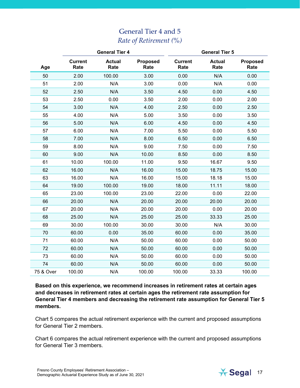### General Tier 4 and 5 *Rate of Retirement (%)*

|           | <b>General Tier 4</b>  |                       | <b>General Tier 5</b>   |                        |                       |                         |
|-----------|------------------------|-----------------------|-------------------------|------------------------|-----------------------|-------------------------|
| Age       | <b>Current</b><br>Rate | <b>Actual</b><br>Rate | <b>Proposed</b><br>Rate | <b>Current</b><br>Rate | <b>Actual</b><br>Rate | <b>Proposed</b><br>Rate |
| 50        | 2.00                   | 100.00                | 3.00                    | 0.00                   | N/A                   | 0.00                    |
| 51        | 2.00                   | N/A                   | 3.00                    | 0.00                   | N/A                   | 0.00                    |
| 52        | 2.50                   | N/A                   | 3.50                    | 4.50                   | 0.00                  | 4.50                    |
| 53        | 2.50                   | 0.00                  | 3.50                    | 2.00                   | 0.00                  | 2.00                    |
| 54        | 3.00                   | N/A                   | 4.00                    | 2.50                   | 0.00                  | 2.50                    |
| 55        | 4.00                   | N/A                   | 5.00                    | 3.50                   | 0.00                  | 3.50                    |
| 56        | 5.00                   | N/A                   | 6.00                    | 4.50                   | 0.00                  | 4.50                    |
| 57        | 6.00                   | N/A                   | 7.00                    | 5.50                   | 0.00                  | 5.50                    |
| 58        | 7.00                   | N/A                   | 8.00                    | 6.50                   | 0.00                  | 6.50                    |
| 59        | 8.00                   | N/A                   | 9.00                    | 7.50                   | 0.00                  | 7.50                    |
| 60        | 9.00                   | N/A                   | 10.00                   | 8.50                   | 0.00                  | 8.50                    |
| 61        | 10.00                  | 100.00                | 11.00                   | 9.50                   | 16.67                 | 9.50                    |
| 62        | 16.00                  | N/A                   | 16.00                   | 15.00                  | 18.75                 | 15.00                   |
| 63        | 16.00                  | N/A                   | 16.00                   | 15.00                  | 18.18                 | 15.00                   |
| 64        | 19.00                  | 100.00                | 19.00                   | 18.00                  | 11.11                 | 18.00                   |
| 65        | 23.00                  | 100.00                | 23.00                   | 22.00                  | 0.00                  | 22.00                   |
| 66        | 20.00                  | N/A                   | 20.00                   | 20.00                  | 20.00                 | 20.00                   |
| 67        | 20.00                  | N/A                   | 20.00                   | 20.00                  | 0.00                  | 20.00                   |
| 68        | 25.00                  | N/A                   | 25.00                   | 25.00                  | 33.33                 | 25.00                   |
| 69        | 30.00                  | 100.00                | 30.00                   | 30.00                  | N/A                   | 30.00                   |
| 70        | 60.00                  | 0.00                  | 35.00                   | 60.00                  | 0.00                  | 35.00                   |
| 71        | 60.00                  | N/A                   | 50.00                   | 60.00                  | 0.00                  | 50.00                   |
| 72        | 60.00                  | N/A                   | 50.00                   | 60.00                  | 0.00                  | 50.00                   |
| 73        | 60.00                  | N/A                   | 50.00                   | 60.00                  | 0.00                  | 50.00                   |
| 74        | 60.00                  | N/A                   | 50.00                   | 60.00                  | 0.00                  | 50.00                   |
| 75 & Over | 100.00                 | N/A                   | 100.00                  | 100.00                 | 33.33                 | 100.00                  |

**Based on this experience, we recommend increases in retirement rates at certain ages and decreases in retirement rates at certain ages the retirement rate assumption for General Tier 4 members and decreasing the retirement rate assumption for General Tier 5 members.** 

Chart 5 compares the actual retirement experience with the current and proposed assumptions for General Tier 2 members.

Chart 6 compares the actual retirement experience with the current and proposed assumptions for General Tier 3 members.

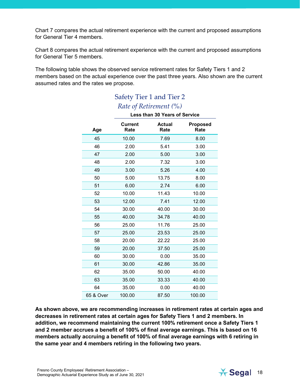Chart 7 compares the actual retirement experience with the current and proposed assumptions for General Tier 4 members.

Chart 8 compares the actual retirement experience with the current and proposed assumptions for General Tier 5 members.

The following table shows the observed service retirement rates for Safety Tiers 1 and 2 members based on the actual experience over the past three years. Also shown are the current assumed rates and the rates we propose.

|           | There of Them children (10)   |                       |                         |  |  |  |
|-----------|-------------------------------|-----------------------|-------------------------|--|--|--|
|           | Less than 30 Years of Service |                       |                         |  |  |  |
| Age       | <b>Current</b><br>Rate        | <b>Actual</b><br>Rate | <b>Proposed</b><br>Rate |  |  |  |
| 45        | 10.00                         | 7.69                  | 8.00                    |  |  |  |
| 46        | 2.00                          | 5.41                  | 3.00                    |  |  |  |
| 47        | 2.00                          | 5.00                  | 3.00                    |  |  |  |
| 48        | 2.00                          | 7.32                  | 3.00                    |  |  |  |
| 49        | 3.00                          | 5.26                  | 4.00                    |  |  |  |
| 50        | 5.00                          | 13.75                 | 8.00                    |  |  |  |
| 51        | 6.00                          | 2.74                  | 6.00                    |  |  |  |
| 52        | 10.00                         | 11.43                 | 10.00                   |  |  |  |
| 53        | 12.00                         | 7.41                  | 12.00                   |  |  |  |
| 54        | 30.00                         | 40.00                 | 30.00                   |  |  |  |
| 55        | 40.00                         | 34.78                 | 40.00                   |  |  |  |
| 56        | 25.00                         | 11.76                 | 25.00                   |  |  |  |
| 57        | 25.00                         | 23.53                 | 25.00                   |  |  |  |
| 58        | 20.00                         | 22.22                 | 25.00                   |  |  |  |
| 59        | 20.00                         | 37.50                 | 25.00                   |  |  |  |
| 60        | 30.00                         | 0.00                  | 35.00                   |  |  |  |
| 61        | 30.00                         | 42.86                 | 35.00                   |  |  |  |
| 62        | 35.00                         | 50.00                 | 40.00                   |  |  |  |
| 63        | 35.00                         | 33.33                 | 40.00                   |  |  |  |
| 64        | 35.00                         | 0.00                  | 40.00                   |  |  |  |
| 65 & Over | 100.00                        | 87.50                 | 100.00                  |  |  |  |

#### Safety Tier 1 and Tier 2 *Rate of Retirement (%)*

**As shown above, we are recommending increases in retirement rates at certain ages and decreases in retirement rates at certain ages for Safety Tiers 1 and 2 members. In addition, we recommend maintaining the current 100% retirement once a Safety Tiers 1 and 2 member accrues a benefit of 100% of final average earnings. This is based on 16 members actually accruing a benefit of 100% of final average earnings with 6 retiring in the same year and 4 members retiring in the following two years.**

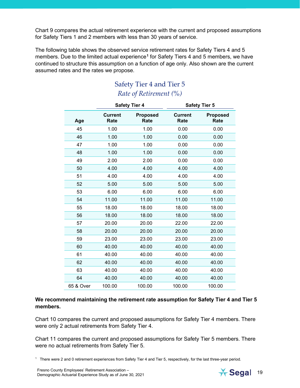Chart 9 compares the actual retirement experience with the current and proposed assumptions for Safety Tiers 1 and 2 members with less than 30 years of service.

The following table shows the observed service retirement rates for Safety Tiers 4 and 5 members. Due to the limited actual experience**[1](#page-18-0)** for Safety Tiers 4 and 5 members, we have continued to structure this assumption on a function of age only. Also shown are the current assumed rates and the rates we propose.

### Safety Tier 4 and Tier 5 *Rate of Retirement (%)*

|           |                        | <b>Safety Tier 4</b>    | <b>Safety Tier 5</b>   |                         |  |
|-----------|------------------------|-------------------------|------------------------|-------------------------|--|
| Age       | <b>Current</b><br>Rate | <b>Proposed</b><br>Rate | <b>Current</b><br>Rate | <b>Proposed</b><br>Rate |  |
| 45        | 1.00                   | 1.00                    | 0.00                   | 0.00                    |  |
| 46        | 1.00                   | 1.00                    | 0.00                   | 0.00                    |  |
| 47        | 1.00                   | 1.00                    | 0.00                   | 0.00                    |  |
| 48        | 1.00                   | 1.00                    | 0.00                   | 0.00                    |  |
| 49        | 2.00                   | 2.00                    | 0.00                   | 0.00                    |  |
| 50        | 4.00                   | 4.00                    | 4.00                   | 4.00                    |  |
| 51        | 4.00                   | 4.00                    | 4.00                   | 4.00                    |  |
| 52        | 5.00                   | 5.00                    | 5.00                   | 5.00                    |  |
| 53        | 6.00                   | 6.00                    | 6.00                   | 6.00                    |  |
| 54        | 11.00                  | 11.00                   | 11.00                  | 11.00                   |  |
| 55        | 18.00                  | 18.00                   | 18.00                  | 18.00                   |  |
| 56        | 18.00                  | 18.00                   | 18.00                  | 18.00                   |  |
| 57        | 20.00                  | 20.00                   | 22.00                  | 22.00                   |  |
| 58        | 20.00                  | 20.00                   | 20.00                  | 20.00                   |  |
| 59        | 23.00                  | 23.00                   | 23.00                  | 23.00                   |  |
| 60        | 40.00                  | 40.00                   | 40.00                  | 40.00                   |  |
| 61        | 40.00                  | 40.00                   | 40.00                  | 40.00                   |  |
| 62        | 40.00                  | 40.00                   | 40.00                  | 40.00                   |  |
| 63        | 40.00                  | 40.00                   | 40.00                  | 40.00                   |  |
| 64        | 40.00                  | 40.00                   | 40.00                  | 40.00                   |  |
| 65 & Over | 100.00                 | 100.00                  | 100.00                 | 100.00                  |  |

#### **We recommend maintaining the retirement rate assumption for Safety Tier 4 and Tier 5 members.**

Chart 10 compares the current and proposed assumptions for Safety Tier 4 members. There were only 2 actual retirements from Safety Tier 4.

Chart 11 compares the current and proposed assumptions for Safety Tier 5 members. There were no actual retirements from Safety Tier 5.

<span id="page-18-0"></span>1 There were 2 and 0 retirement experiences from Safety Tier 4 and Tier 5, respectively, for the last three-year period.

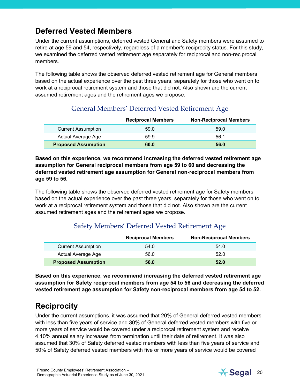## **Deferred Vested Members**

Under the current assumptions, deferred vested General and Safety members were assumed to retire at age 59 and 54, respectively, regardless of a member's reciprocity status. For this study, we examined the deferred vested retirement age separately for reciprocal and non-reciprocal members.

The following table shows the observed deferred vested retirement age for General members based on the actual experience over the past three years, separately for those who went on to work at a reciprocal retirement system and those that did not. Also shown are the current assumed retirement ages and the retirement ages we propose.

#### General Members' Deferred Vested Retirement Age

|                            | <b>Reciprocal Members</b> | <b>Non-Reciprocal Members</b> |
|----------------------------|---------------------------|-------------------------------|
| <b>Current Assumption</b>  | 59.0                      | 59.0                          |
| Actual Average Age         | 59.9                      | 56.1                          |
| <b>Proposed Assumption</b> | 60.0                      | 56.0                          |

**Based on this experience, we recommend increasing the deferred vested retirement age assumption for General reciprocal members from age 59 to 60 and decreasing the deferred vested retirement age assumption for General non-reciprocal members from age 59 to 56.** 

The following table shows the observed deferred vested retirement age for Safety members based on the actual experience over the past three years, separately for those who went on to work at a reciprocal retirement system and those that did not. Also shown are the current assumed retirement ages and the retirement ages we propose.

#### Safety Members' Deferred Vested Retirement Age

|                            | <b>Reciprocal Members</b> | <b>Non-Reciprocal Members</b> |
|----------------------------|---------------------------|-------------------------------|
| <b>Current Assumption</b>  | 54.0                      | 54.0                          |
| Actual Average Age         | 56.0                      | 52.0                          |
| <b>Proposed Assumption</b> | 56.0                      | 52.0                          |

**Based on this experience, we recommend increasing the deferred vested retirement age assumption for Safety reciprocal members from age 54 to 56 and decreasing the deferred vested retirement age assumption for Safety non-reciprocal members from age 54 to 52.** 

## **Reciprocity**

Under the current assumptions, it was assumed that 20% of General deferred vested members with less than five years of service and 30% of General deferred vested members with five or more years of service would be covered under a reciprocal retirement system and receive 4.10% annual salary increases from termination until their date of retirement. It was also assumed that 30% of Safety deferred vested members with less than five years of service and 50% of Safety deferred vested members with five or more years of service would be covered

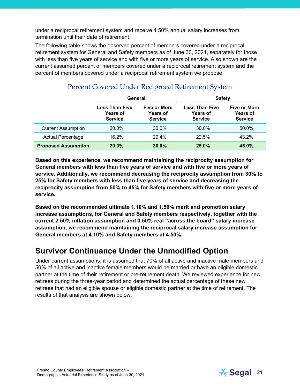under a reciprocal retirement system and receive 4.50% annual salary increases from termination until their date of retirement.

The following table shows the observed percent of members covered under a reciprocal retirement system for General and Safety members as of June 30, 2021, separately for those with less than five years of service and with five or more years of service. Also shown are the current assumed percent of members covered under a reciprocal retirement system and the percent of members covered under a reciprocal retirement system we propose.

|                            |                                                            | <b>Safety</b><br>General                                 |                                                            |                                                          |
|----------------------------|------------------------------------------------------------|----------------------------------------------------------|------------------------------------------------------------|----------------------------------------------------------|
|                            | <b>Less Than Five</b><br><b>Years of</b><br><b>Service</b> | <b>Five or More</b><br><b>Years of</b><br><b>Service</b> | <b>Less Than Five</b><br><b>Years of</b><br><b>Service</b> | <b>Five or More</b><br><b>Years of</b><br><b>Service</b> |
| <b>Current Assumption</b>  | 20.0%                                                      | 30.0%                                                    | 30.0%                                                      | 50.0%                                                    |
| <b>Actual Percentage</b>   | 16.2%                                                      | 29.4%                                                    | 22.5%                                                      | 43.2%                                                    |
| <b>Proposed Assumption</b> | 20.0%                                                      | 30.0%                                                    | 25.0%                                                      | 45.0%                                                    |

#### Percent Covered Under Reciprocal Retirement System

**Based on this experience, we recommend maintaining the reciprocity assumption for General members with less than five years of service and with five or more years of service. Additionally, we recommend decreasing the reciprocity assumption from 30% to 25% for Safety members with less than five years of service and decreasing the reciprocity assumption from 50% to 45% for Safety members with five or more years of service.**

**Based on the recommended ultimate 1.10% and 1.50% merit and promotion salary increase assumptions, for General and Safety members respectively, together with the current 2.50% inflation assumption and 0.50% real "across the board" salary increase assumption, we recommend maintaining the reciprocal salary increase assumption for General members at 4.10% and Safety members at 4.50%.**

### **Survivor Continuance Under the Unmodified Option**

Under current assumptions, it is assumed that 70% of all active and inactive male members and 50% of all active and inactive female members would be married or have an eligible domestic partner at the time of their retirement or pre-retirement death. We reviewed experience for new retirees during the three-year period and determined the actual percentage of these new retirees that had an eligible spouse or eligible domestic partner at the time of retirement. The results of that analysis are shown below.

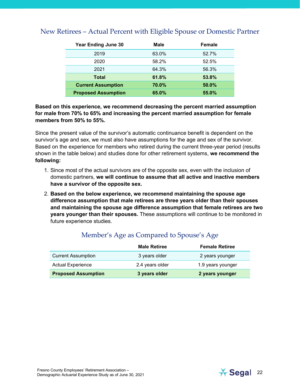| <b>Year Ending June 30</b> | <b>Male</b> | Female |
|----------------------------|-------------|--------|
| 2019                       | 63.0%       | 52.7%  |
| 2020                       | 58.2%       | 52.5%  |
| 2021                       | 64.3%       | 56.3%  |
| <b>Total</b>               | 61.8%       | 53.8%  |
| <b>Current Assumption</b>  | 70.0%       | 50.0%  |
| <b>Proposed Assumption</b> | 65.0%       | 55.0%  |

#### New Retirees – Actual Percent with Eligible Spouse or Domestic Partner

**Based on this experience, we recommend decreasing the percent married assumption for male from 70% to 65% and increasing the percent married assumption for female members from 50% to 55%.**

Since the present value of the survivor's automatic continuance benefit is dependent on the survivor's age and sex, we must also have assumptions for the age and sex of the survivor. Based on the experience for members who retired during the current three-year period (results shown in the table below) and studies done for other retirement systems, **we recommend the following:**

- 1. Since most of the actual survivors are of the opposite sex, even with the inclusion of domestic partners, **we will continue to assume that all active and inactive members have a survivor of the opposite sex.**
- 2. **Based on the below experience, we recommend maintaining the spouse age difference assumption that male retirees are three years older than their spouses and maintaining the spouse age difference assumption that female retirees are two years younger than their spouses.** These assumptions will continue to be monitored in future experience studies.

|                            | <b>Male Retiree</b> | <b>Female Retiree</b> |
|----------------------------|---------------------|-----------------------|
| <b>Current Assumption</b>  | 3 years older       | 2 years younger       |
| <b>Actual Experience</b>   | 2.4 years older     | 1.9 years younger     |
| <b>Proposed Assumption</b> | 3 years older       | 2 years younger       |

#### Member's Age as Compared to Spouse's Age

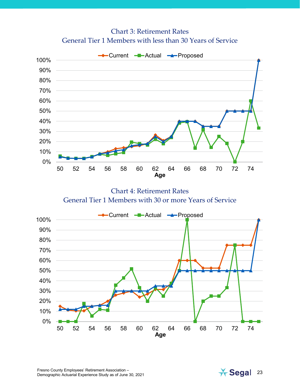Chart 3: Retirement Rates General Tier 1 Members with less than 30 Years of Service



Chart 4: Retirement Rates General Tier 1 Members with 30 or more Years of Service



Fresno County Employees' Retirement Association – Fresno County Employees' Retirement Association –<br>Demographic Actuarial Experience Study as of June 30, 2021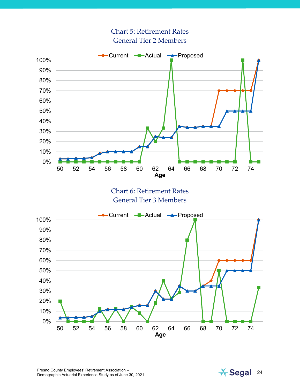#### Chart 5: Retirement Rates General Tier 2 Members



Fresno County Employees' Retirement Association – Fresno County Employees' Retirement Association –<br>
Demographic Actuarial Experience Study as of June 30, 2021 2011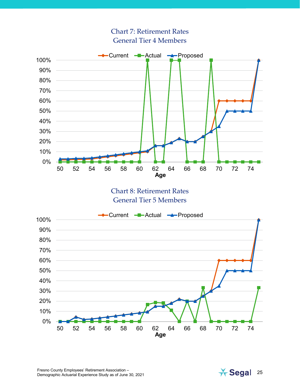

Chart 7: Retirement Rates General Tier 4 Members

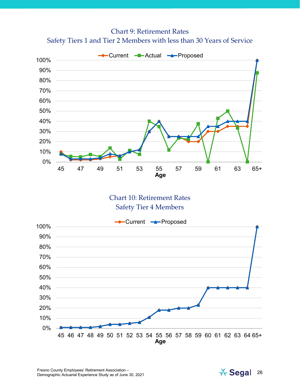Chart 9: Retirement Rates Safety Tiers 1 and Tier 2 Members with less than 30 Years of Service



Chart 10: Retirement Rates Safety Tier 4 Members



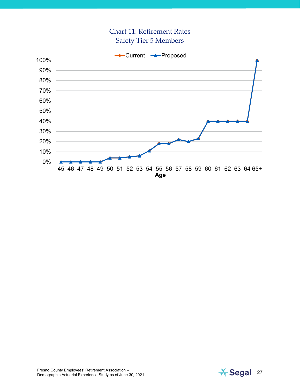#### Chart 11: Retirement Rates Safety Tier 5 Members



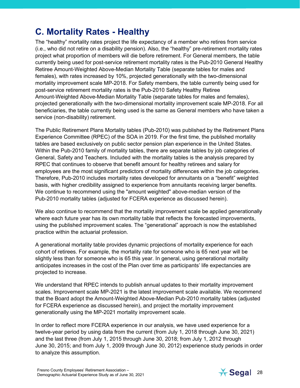## <span id="page-27-0"></span>**C. Mortality Rates - Healthy**

The "healthy" mortality rates project the life expectancy of a member who retires from service (i.e., who did not retire on a disability pension). Also, the "healthy" pre-retirement mortality rates project what proportion of members will die before retirement. For General members, the table currently being used for post-service retirement mortality rates is the Pub-2010 General Healthy Retiree Amount-Weighted Above-Median Mortality Table (separate tables for males and females), with rates increased by 10%, projected generationally with the two-dimensional mortality improvement scale MP-2018. For Safety members, the table currently being used for post-service retirement mortality rates is the Pub-2010 Safety Healthy Retiree Amount-Weighted Above-Median Mortality Table (separate tables for males and females), projected generationally with the two-dimensional mortality improvement scale MP-2018. For all beneficiaries, the table currently being used is the same as General members who have taken a service (non-disability) retirement.

The Public Retirement Plans Mortality tables (Pub-2010) was published by the Retirement Plans Experience Committee (RPEC) of the SOA in 2019. For the first time, the published mortality tables are based exclusively on public sector pension plan experience in the United States. Within the Pub-2010 family of mortality tables, there are separate tables by job categories of General, Safety and Teachers. Included with the mortality tables is the analysis prepared by RPEC that continues to observe that benefit amount for healthy retirees and salary for employees are the most significant predictors of mortality differences within the job categories. Therefore, Pub-2010 includes mortality rates developed for annuitants on a "benefit" weighted basis, with higher credibility assigned to experience from annuitants receiving larger benefits. We continue to recommend using the "amount weighted" above-median version of the Pub-2010 mortality tables (adjusted for FCERA experience as discussed herein).

We also continue to recommend that the mortality improvement scale be applied generationally where each future year has its own mortality table that reflects the forecasted improvements, using the published improvement scales. The "generational" approach is now the established practice within the actuarial profession.

A generational mortality table provides dynamic projections of mortality experience for each cohort of retirees. For example, the mortality rate for someone who is 65 next year will be slightly less than for someone who is 65 this year. In general, using generational mortality anticipates increases in the cost of the Plan over time as participants' life expectancies are projected to increase.

We understand that RPEC intends to publish annual updates to their mortality improvement scales. Improvement scale MP-2021 is the latest improvement scale available. We recommend that the Board adopt the Amount-Weighted Above-Median Pub-2010 mortality tables (adjusted for FCERA experience as discussed herein), and project the mortality improvement generationally using the MP-2021 mortality improvement scale.

In order to reflect more FCERA experience in our analysis, we have used experience for a twelve-year period by using data from the current (from July 1, 2018 through June 30, 2021) and the last three (from July 1, 2015 through June 30, 2018; from July 1, 2012 through June 30, 2015; and from July 1, 2009 through June 30, 2012) experience study periods in order to analyze this assumption.

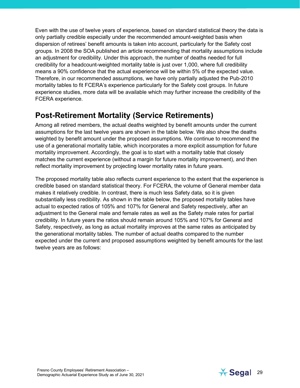Even with the use of twelve years of experience, based on standard statistical theory the data is only partially credible especially under the recommended amount-weighted basis when dispersion of retirees' benefit amounts is taken into account, particularly for the Safety cost groups. In 2008 the SOA published an article recommending that mortality assumptions include an adjustment for credibility. Under this approach, the number of deaths needed for full credibility for a headcount-weighted mortality table is just over 1,000, where full credibility means a 90% confidence that the actual experience will be within 5% of the expected value. Therefore, in our recommended assumptions, we have only partially adjusted the Pub-2010 mortality tables to fit FCERA's experience particularly for the Safety cost groups. In future experience studies, more data will be available which may further increase the credibility of the FCERA experience.

### **Post-Retirement Mortality (Service Retirements)**

Among all retired members, the actual deaths weighted by benefit amounts under the current assumptions for the last twelve years are shown in the table below. We also show the deaths weighted by benefit amount under the proposed assumptions. We continue to recommend the use of a generational mortality table, which incorporates a more explicit assumption for future mortality improvement. Accordingly, the goal is to start with a mortality table that closely matches the current experience (without a margin for future mortality improvement), and then reflect mortality improvement by projecting lower mortality rates in future years.

The proposed mortality table also reflects current experience to the extent that the experience is credible based on standard statistical theory. For FCERA, the volume of General member data makes it relatively credible. In contrast, there is much less Safety data, so it is given substantially less credibility. As shown in the table below, the proposed mortality tables have actual to expected ratios of 105% and 107% for General and Safety respectively, after an adjustment to the General male and female rates as well as the Safety male rates for partial credibility. In future years the ratios should remain around 105% and 107% for General and Safety, respectively, as long as actual mortality improves at the same rates as anticipated by the generational mortality tables. The number of actual deaths compared to the number expected under the current and proposed assumptions weighted by benefit amounts for the last twelve years are as follows:

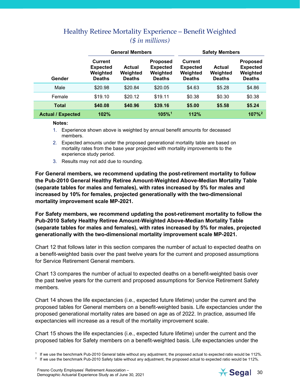|                          |                                                                | <b>General Members</b>                     |                                                                 |                                                         | <b>Safety Members</b>               |                                                                 |
|--------------------------|----------------------------------------------------------------|--------------------------------------------|-----------------------------------------------------------------|---------------------------------------------------------|-------------------------------------|-----------------------------------------------------------------|
| Gender                   | <b>Current</b><br><b>Expected</b><br>Weighted<br><b>Deaths</b> | <b>Actual</b><br>Weighted<br><b>Deaths</b> | <b>Proposed</b><br><b>Expected</b><br>Weighted<br><b>Deaths</b> | Current<br><b>Expected</b><br>Weighted<br><b>Deaths</b> | Actual<br>Weighted<br><b>Deaths</b> | <b>Proposed</b><br><b>Expected</b><br>Weighted<br><b>Deaths</b> |
| Male                     | \$20.98                                                        | \$20.84                                    | \$20.05                                                         | \$4.63                                                  | \$5.28                              | \$4.86                                                          |
| Female                   | \$19.10                                                        | \$20.12                                    | \$19.11                                                         | \$0.38                                                  | \$0.30                              | \$0.38                                                          |
| <b>Total</b>             | \$40.08                                                        | \$40.96                                    | \$39.16                                                         | \$5.00                                                  | \$5.58                              | \$5.24                                                          |
| <b>Actual / Expected</b> | 102%                                                           |                                            | 105%1                                                           | 112%                                                    |                                     | $107\%$ <sup>2</sup>                                            |

#### Healthy Retiree Mortality Experience – Benefit Weighted *(\$ in millions)*

#### **Notes:**

- 1. Experience shown above is weighted by annual benefit amounts for deceased members.
- 2. Expected amounts under the proposed generational mortality table are based on mortality rates from the base year projected with mortality improvements to the experience study period.
- 3. Results may not add due to rounding.

**For General members, we recommend updating the post-retirement mortality to follow the Pub-2010 General Healthy Retiree Amount-Weighted Above-Median Mortality Table (separate tables for males and females), with rates increased by 5% for males and increased by 10% for females, projected generationally with the two-dimensional mortality improvement scale MP-2021.** 

**For Safety members, we recommend updating the post-retirement mortality to follow the Pub-2010 Safety Healthy Retiree Amount-Weighted Above-Median Mortality Table (separate tables for males and females), with rates increased by 5% for males, projected generationally with the two-dimensional mortality improvement scale MP-2021.** 

Chart 12 that follows later in this section compares the number of actual to expected deaths on a benefit-weighted basis over the past twelve years for the current and proposed assumptions for Service Retirement General members.

Chart 13 compares the number of actual to expected deaths on a benefit-weighted basis over the past twelve years for the current and proposed assumptions for Service Retirement Safety members.

Chart 14 shows the life expectancies (i.e., expected future lifetime) under the current and the proposed tables for General members on a benefit-weighted basis. Life expectancies under the proposed generational mortality rates are based on age as of 2022. In practice, assumed life expectancies will increase as a result of the mortality improvement scale.

Chart 15 shows the life expectancies (i.e., expected future lifetime) under the current and the proposed tables for Safety members on a benefit-weighted basis. Life expectancies under the



<sup>1</sup> If we use the benchmark Pub-2010 General table without any adjustment, the proposed actual to expected ratio would be 112%.

<span id="page-29-1"></span><span id="page-29-0"></span><sup>&</sup>lt;sup>2</sup> If we use the benchmark Pub-2010 Safety table without any adjustment, the proposed actual to expected ratio would be 112%.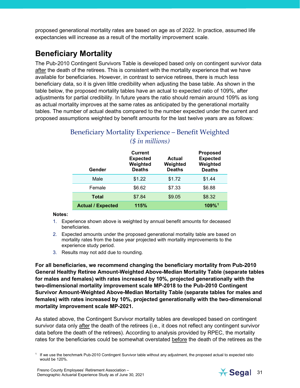proposed generational mortality rates are based on age as of 2022. In practice, assumed life expectancies will increase as a result of the mortality improvement scale.

## **Beneficiary Mortality**

The Pub-2010 Contingent Survivors Table is developed based only on contingent survivor data after the death of the retirees. This is consistent with the mortality experience that we have available for beneficiaries. However, in contrast to service retirees, there is much less beneficiary data, so it is given little credibility when adjusting the base table. As shown in the table below, the proposed mortality tables have an actual to expected ratio of 109%, after adjustments for partial credibility. In future years the ratio should remain around 109% as long as actual mortality improves at the same rates as anticipated by the generational mortality tables. The number of actual deaths compared to the number expected under the current and proposed assumptions weighted by benefit amounts for the last twelve years are as follows:

| Gender                   | <b>Current</b><br><b>Expected</b><br>Weighted<br><b>Deaths</b> | Actual<br>Weighted<br><b>Deaths</b> | <b>Proposed</b><br><b>Expected</b><br>Weighted<br><b>Deaths</b> |
|--------------------------|----------------------------------------------------------------|-------------------------------------|-----------------------------------------------------------------|
| Male                     | \$1.22                                                         | \$1.72                              | \$1.44                                                          |
| Female                   | \$6.62                                                         | \$7.33                              | \$6.88                                                          |
| <b>Total</b>             | \$7.84                                                         | \$9.05                              | \$8.32                                                          |
| <b>Actual / Expected</b> | 115%                                                           |                                     | <b>109%</b> <sup>1</sup>                                        |

### Beneficiary Mortality Experience – Benefit Weighted *(\$ in millions)*

#### **Notes:**

- 1. Experience shown above is weighted by annual benefit amounts for deceased beneficiaries.
- 2. Expected amounts under the proposed generational mortality table are based on mortality rates from the base year projected with mortality improvements to the experience study period.
- 3. Results may not add due to rounding.

**For all beneficiaries, we recommend changing the beneficiary mortality from Pub-2010 General Healthy Retiree Amount-Weighted Above-Median Mortality Table (separate tables for males and females) with rates increased by 10%, projected generationally with the two-dimensional mortality improvement scale MP-2018 to the Pub-2010 Contingent Survivor Amount-Weighted Above-Median Mortality Table (separate tables for males and females) with rates increased by 10%, projected generationally with the two-dimensional mortality improvement scale MP-2021.** 

As stated above, the Contingent Survivor mortality tables are developed based on contingent survivor data only after the death of the retirees (i.e., it does not reflect any contingent survivor data before the death of the retirees). According to analysis provided by RPEC, the mortality rates for the beneficiaries could be somewhat overstated before the death of the retirees as the

<span id="page-30-0"></span> $1$  If we use the benchmark Pub-2010 Contingent Survivor table without any adjustment, the proposed actual to expected ratio would be 120%.

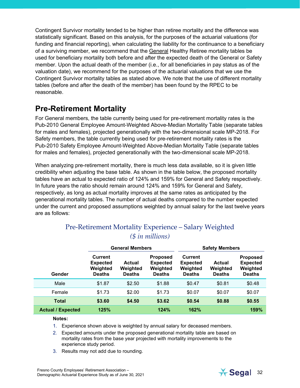Contingent Survivor mortality tended to be higher than retiree mortality and the difference was statistically significant. Based on this analysis, for the purposes of the actuarial valuations (for funding and financial reporting), when calculating the liability for the continuance to a beneficiary of a surviving member, we recommend that the General Healthy Retiree mortality tables be used for beneficiary mortality both before and after the expected death of the General or Safety member. Upon the actual death of the member (i.e., for all beneficiaries in pay status as of the valuation date), we recommend for the purposes of the actuarial valuations that we use the Contingent Survivor mortality tables as stated above. We note that the use of different mortality tables (before and after the death of the member) has been found by the RPEC to be reasonable.

### **Pre-Retirement Mortality**

For General members, the table currently being used for pre-retirement mortality rates is the Pub-2010 General Employee Amount-Weighted Above-Median Mortality Table (separate tables for males and females), projected generationally with the two-dimensional scale MP-2018. For Safety members, the table currently being used for pre-retirement mortality rates is the Pub-2010 Safety Employee Amount-Weighted Above-Median Mortality Table (separate tables for males and females), projected generationally with the two-dimensional scale MP-2018.

When analyzing pre-retirement mortality, there is much less data available, so it is given little credibility when adjusting the base table. As shown in the table below, the proposed mortality tables have an actual to expected ratio of 124% and 159% for General and Safety respectively. In future years the ratio should remain around 124% and 159% for General and Safety, respectively, as long as actual mortality improves at the same rates as anticipated by the generational mortality tables. The number of actual deaths compared to the number expected under the current and proposed assumptions weighted by annual salary for the last twelve years are as follows:

|                          | <b>General Members</b>                                         |                                     |                                                                 |                                                         | <b>Safety Members</b>               |                                                                 |
|--------------------------|----------------------------------------------------------------|-------------------------------------|-----------------------------------------------------------------|---------------------------------------------------------|-------------------------------------|-----------------------------------------------------------------|
| Gender                   | <b>Current</b><br><b>Expected</b><br>Weighted<br><b>Deaths</b> | Actual<br>Weighted<br><b>Deaths</b> | <b>Proposed</b><br><b>Expected</b><br>Weighted<br><b>Deaths</b> | Current<br><b>Expected</b><br>Weighted<br><b>Deaths</b> | Actual<br>Weighted<br><b>Deaths</b> | <b>Proposed</b><br><b>Expected</b><br>Weighted<br><b>Deaths</b> |
| Male                     | \$1.87                                                         | \$2.50                              | \$1.88                                                          | \$0.47                                                  | \$0.81                              | \$0.48                                                          |
| Female                   | \$1.73                                                         | \$2.00                              | \$1.73                                                          | \$0.07                                                  | \$0.07                              | \$0.07                                                          |
| <b>Total</b>             | \$3.60                                                         | \$4.50                              | \$3.62                                                          | \$0.54                                                  | \$0.88                              | \$0.55                                                          |
| <b>Actual / Expected</b> | 125%                                                           |                                     | 124%                                                            | 162%                                                    |                                     | 159%                                                            |

#### Pre-Retirement Mortality Experience – Salary Weighted *(\$ in millions)*

#### **Notes:**

- 1. Experience shown above is weighted by annual salary for deceased members.
- 2. Expected amounts under the proposed generational mortality table are based on mortality rates from the base year projected with mortality improvements to the experience study period.
- 3. Results may not add due to rounding.

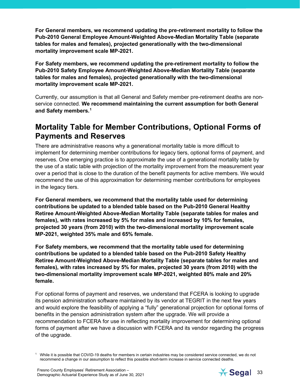**For General members, we recommend updating the pre-retirement mortality to follow the Pub-2010 General Employee Amount-Weighted Above-Median Mortality Table (separate tables for males and females), projected generationally with the two-dimensional mortality improvement scale MP-2021.**

**For Safety members, we recommend updating the pre-retirement mortality to follow the Pub-2010 Safety Employee Amount-Weighted Above-Median Mortality Table (separate tables for males and females), projected generationally with the two-dimensional mortality improvement scale MP-2021.** 

Currently, our assumption is that all General and Safety member pre-retirement deaths are nonservice connected. **We recommend maintaining the current assumption for both General and Safety members.[1](#page-32-0)**

### **Mortality Table for Member Contributions, Optional Forms of Payments and Reserves**

There are administrative reasons why a generational mortality table is more difficult to implement for determining member contributions for legacy tiers, optional forms of payment, and reserves. One emerging practice is to approximate the use of a generational mortality table by the use of a static table with projection of the mortality improvement from the measurement year over a period that is close to the duration of the benefit payments for active members. We would recommend the use of this approximation for determining member contributions for employees in the legacy tiers.

**For General members, we recommend that the mortality table used for determining contributions be updated to a blended table based on the Pub-2010 General Healthy Retiree Amount-Weighted Above-Median Mortality Table (separate tables for males and females), with rates increased by 5% for males and increased by 10% for females, projected 30 years (from 2010) with the two-dimensional mortality improvement scale MP-2021, weighted 35% male and 65% female.**

**For Safety members, we recommend that the mortality table used for determining contributions be updated to a blended table based on the Pub-2010 Safety Healthy Retiree Amount-Weighted Above-Median Mortality Table (separate tables for males and females), with rates increased by 5% for males, projected 30 years (from 2010) with the two-dimensional mortality improvement scale MP-2021, weighted 80% male and 20% female.**

For optional forms of payment and reserves, we understand that FCERA is looking to upgrade its pension administration software maintained by its vendor at TEGRIT in the next few years and would explore the feasibility of applying a "fully" generational projection for optional forms of benefits in the pension administration system after the upgrade. We will provide a recommendation to FCERA for use in reflecting mortality improvement for determining optional forms of payment after we have a discussion with FCERA and its vendor regarding the progress of the upgrade.



<span id="page-32-0"></span> $1$  While it is possible that COVID-19 deaths for members in certain industries may be considered service connected, we do not recommend a change in our assumption to reflect this possible short-term increase in service connected deaths.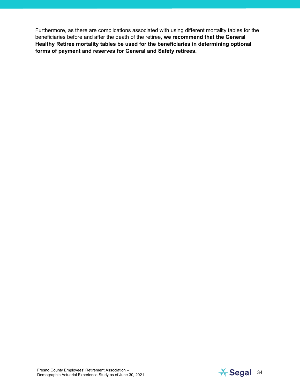Furthermore, as there are complications associated with using different mortality tables for the beneficiaries before and after the death of the retiree, **we recommend that the General Healthy Retiree mortality tables be used for the beneficiaries in determining optional forms of payment and reserves for General and Safety retirees.** 

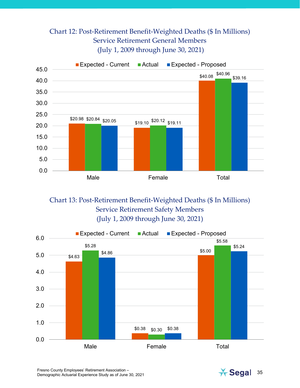#### Chart 12: Post-Retirement Benefit-Weighted Deaths (\$ In Millions) Service Retirement General Members (July 1, 2009 through June 30, 2021)



Chart 13: Post-Retirement Benefit-Weighted Deaths (\$ In Millions) Service Retirement Safety Members (July 1, 2009 through June 30, 2021)





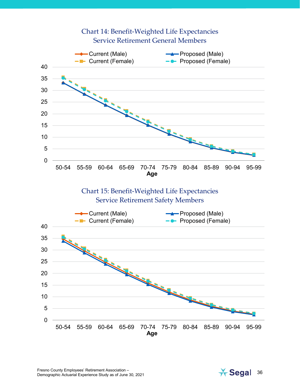

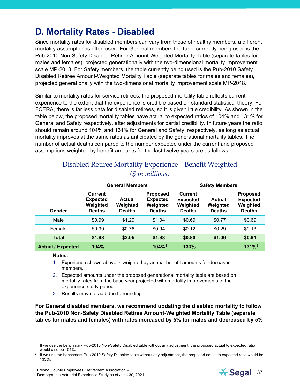## <span id="page-36-0"></span>**D. Mortality Rates - Disabled**

Since mortality rates for disabled members can vary from those of healthy members, a different mortality assumption is often used. For General members the table currently being used is the Pub-2010 Non-Safety Disabled Retiree Amount-Weighted Mortality Table (separate tables for males and females), projected generationally with the two-dimensional mortality improvement scale MP-2018. For Safety members, the table currently being used is the Pub-2010 Safety Disabled Retiree Amount-Weighted Mortality Table (separate tables for males and females), projected generationally with the two-dimensional mortality improvement scale MP-2018.

Similar to mortality rates for service retirees, the proposed mortality table reflects current experience to the extent that the experience is credible based on standard statistical theory. For FCERA, there is far less data for disabled retirees, so it is given little credibility. As shown in the table below, the proposed mortality tables have actual to expected ratios of 104% and 131% for General and Safety respectively, after adjustments for partial credibility. In future years the ratio should remain around 104% and 131% for General and Safety, respectively, as long as actual mortality improves at the same rates as anticipated by the generational mortality tables. The number of actual deaths compared to the number expected under the current and proposed assumptions weighted by benefit amounts for the last twelve years are as follows:

#### Disabled Retiree Mortality Experience – Benefit Weighted *(\$ in millions)*

|                          |                                                                | <b>General Members</b>              |                                                                 |                                                         | <b>Safety Members</b>               |                                                                 |
|--------------------------|----------------------------------------------------------------|-------------------------------------|-----------------------------------------------------------------|---------------------------------------------------------|-------------------------------------|-----------------------------------------------------------------|
| Gender                   | <b>Current</b><br><b>Expected</b><br>Weighted<br><b>Deaths</b> | Actual<br>Weighted<br><b>Deaths</b> | <b>Proposed</b><br><b>Expected</b><br>Weighted<br><b>Deaths</b> | Current<br><b>Expected</b><br>Weighted<br><b>Deaths</b> | Actual<br>Weighted<br><b>Deaths</b> | <b>Proposed</b><br><b>Expected</b><br>Weighted<br><b>Deaths</b> |
| Male                     | \$0.99                                                         | \$1.29                              | \$1.04                                                          | \$0.69                                                  | \$0.77                              | \$0.69                                                          |
| Female                   | \$0.99                                                         | \$0.76                              | \$0.94                                                          | \$0.12                                                  | \$0.29                              | \$0.13                                                          |
| <b>Total</b>             | \$1.98                                                         | \$2.05                              | \$1.98                                                          | \$0.80                                                  | \$1.06                              | \$0.81                                                          |
| <b>Actual / Expected</b> | 104%                                                           |                                     | $104\%$ <sup>1</sup>                                            | 133%                                                    |                                     | $131%^{2}$                                                      |

**Notes:**

- 1. Experience shown above is weighted by annual benefit amounts for deceased members.
- 2. Expected amounts under the proposed generational mortality table are based on mortality rates from the base year projected with mortality improvements to the experience study period.
- 3. Results may not add due to rounding.

**For General disabled members, we recommend updating the disabled mortality to follow the Pub-2010 Non-Safety Disabled Retiree Amount-Weighted Mortality Table (separate tables for males and females) with rates increased by 5% for males and decreased by 5%** 



<span id="page-36-1"></span><sup>1</sup> If we use the benchmark Pub-2010 Non-Safety Disabled table without any adjustment, the proposed actual to expected ratio would also be 104%.<br><sup>2</sup> If we use the benchmark Pub-2010 Safety Disabled table without any adjustment, the proposed actual to expected ratio would be

<span id="page-36-2"></span><sup>133%.</sup>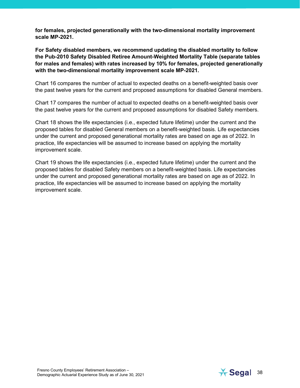**for females, projected generationally with the two-dimensional mortality improvement scale MP-2021.**

**For Safety disabled members, we recommend updating the disabled mortality to follow the Pub-2010 Safety Disabled Retiree Amount-Weighted Mortality Table (separate tables for males and females) with rates increased by 10% for females, projected generationally with the two-dimensional mortality improvement scale MP-2021.**

Chart 16 compares the number of actual to expected deaths on a benefit-weighted basis over the past twelve years for the current and proposed assumptions for disabled General members.

Chart 17 compares the number of actual to expected deaths on a benefit-weighted basis over the past twelve years for the current and proposed assumptions for disabled Safety members.

Chart 18 shows the life expectancies (i.e., expected future lifetime) under the current and the proposed tables for disabled General members on a benefit-weighted basis. Life expectancies under the current and proposed generational mortality rates are based on age as of 2022. In practice, life expectancies will be assumed to increase based on applying the mortality improvement scale.

Chart 19 shows the life expectancies (i.e., expected future lifetime) under the current and the proposed tables for disabled Safety members on a benefit-weighted basis. Life expectancies under the current and proposed generational mortality rates are based on age as of 2022. In practice, life expectancies will be assumed to increase based on applying the mortality improvement scale.

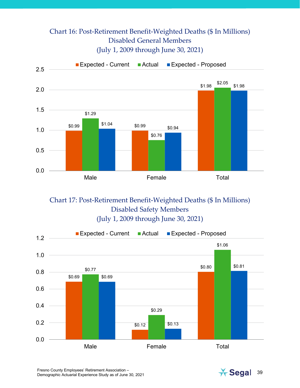#### Chart 16: Post-Retirement Benefit-Weighted Deaths (\$ In Millions) Disabled General Members (July 1, 2009 through June 30, 2021)



Chart 17: Post-Retirement Benefit-Weighted Deaths (\$ In Millions) Disabled Safety Members (July 1, 2009 through June 30, 2021)





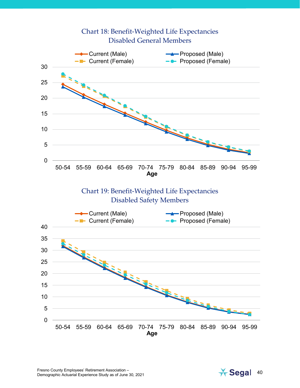

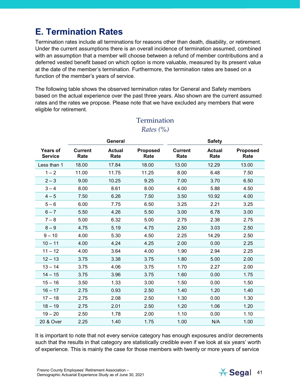## <span id="page-40-0"></span>**E. Termination Rates**

Termination rates include all terminations for reasons other than death, disability, or retirement. Under the current assumptions there is an overall incidence of termination assumed, combined with an assumption that a member will choose between a refund of member contributions and a deferred vested benefit based on which option is more valuable, measured by its present value at the date of the member's termination. Furthermore, the termination rates are based on a function of the member's years of service.

The following table shows the observed termination rates for General and Safety members based on the actual experience over the past three years. Also shown are the current assumed rates and the rates we propose. Please note that we have excluded any members that were eligible for retirement.

|                                   |                        | General               |                         |                        | <b>Safety</b>         |                         |
|-----------------------------------|------------------------|-----------------------|-------------------------|------------------------|-----------------------|-------------------------|
| <b>Years of</b><br><b>Service</b> | <b>Current</b><br>Rate | <b>Actual</b><br>Rate | <b>Proposed</b><br>Rate | <b>Current</b><br>Rate | <b>Actual</b><br>Rate | <b>Proposed</b><br>Rate |
| Less than 1                       | 18.00                  | 17.84                 | 18.00                   | 13.00                  | 12.29                 | 13.00                   |
| $1 - 2$                           | 11.00                  | 11.75                 | 11.25                   | 8.00                   | 6.48                  | 7.50                    |
| $2 - 3$                           | 9.00                   | 10.25                 | 9.25                    | 7.00                   | 3.70                  | 6.50                    |
| $3 - 4$                           | 8.00                   | 8.61                  | 8.00                    | 4.00                   | 5.88                  | 4.50                    |
| $4 - 5$                           | 7.50                   | 6.26                  | 7.50                    | 3.50                   | 10.92                 | 4.00                    |
| $5 - 6$                           | 6.00                   | 7.75                  | 6.50                    | 3.25                   | 2.21                  | 3.25                    |
| $6 - 7$                           | 5.50                   | 4.26                  | 5.50                    | 3.00                   | 6.78                  | 3.00                    |
| $7 - 8$                           | 5.00                   | 6.32                  | 5.00                    | 2.75                   | 2.38                  | 2.75                    |
| $8 - 9$                           | 4.75                   | 5.19                  | 4.75                    | 2.50                   | 3.03                  | 2.50                    |
| $9 - 10$                          | 4.00                   | 5.30                  | 4.50                    | 2.25                   | 14.29                 | 2.50                    |
| $10 - 11$                         | 4.00                   | 4.24                  | 4.25                    | 2.00                   | 0.00                  | 2.25                    |
| $11 - 12$                         | 4.00                   | 3.64                  | 4.00                    | 1.90                   | 2.94                  | 2.25                    |
| $12 - 13$                         | 3.75                   | 3.38                  | 3.75                    | 1.80                   | 5.00                  | 2.00                    |
| $13 - 14$                         | 3.75                   | 4.06                  | 3.75                    | 1.70                   | 2.27                  | 2.00                    |
| $14 - 15$                         | 3.75                   | 3.96                  | 3.75                    | 1.60                   | 0.00                  | 1.75                    |
| $15 - 16$                         | 3.50                   | 1.33                  | 3.00                    | 1.50                   | 0.00                  | 1.50                    |
| $16 - 17$                         | 2.75                   | 0.93                  | 2.50                    | 1.40                   | 1.20                  | 1.40                    |
| $17 - 18$                         | 2.75                   | 2.08                  | 2.50                    | 1.30                   | 0.00                  | 1.30                    |
| $18 - 19$                         | 2.75                   | 2.01                  | 2.50                    | 1.20                   | 1.06                  | 1.20                    |
| $19 - 20$                         | 2.50                   | 1.78                  | 2.00                    | 1.10                   | 0.00                  | 1.10                    |
| 20 & Over                         | 2.25                   | 1.40                  | 1.75                    | 1.00                   | N/A                   | 1.00                    |

#### **Termination** *Rates (%)*

It is important to note that not every service category has enough exposures and/or decrements such that the results in that category are statistically credible even if we look at six years' worth of experience. This is mainly the case for those members with twenty or more years of service

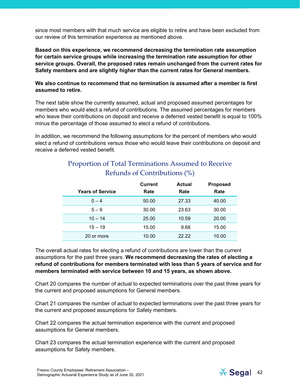since most members with that much service are eligible to retire and have been excluded from our review of this termination experience as mentioned above.

**Based on this experience, we recommend decreasing the termination rate assumption for certain service groups while increasing the termination rate assumption for other service groups. Overall, the proposed rates remain unchanged from the current rates for Safety members and are slightly higher than the current rates for General members.** 

**We also continue to recommend that no termination is assumed after a member is first assumed to retire.**

The next table show the currently assumed, actual and proposed assumed percentages for members who would elect a refund of contributions. The assumed percentages for members who leave their contributions on deposit and receive a deferred vested benefit is equal to 100% minus the percentage of those assumed to elect a refund of contributions.

In addition, we recommend the following assumptions for the percent of members who would elect a refund of contributions versus those who would leave their contributions on deposit and receive a deferred vested benefit.

| Proportion of Total Terminations Assumed to Receive |
|-----------------------------------------------------|
| Refunds of Contributions (%)                        |

| <b>Years of Service</b> | <b>Current</b><br>Rate | <b>Actual</b><br>Rate | <b>Proposed</b><br>Rate |
|-------------------------|------------------------|-----------------------|-------------------------|
| $0 - 4$                 | 50.00                  | 27.33                 | 40.00                   |
| $5 - 9$                 | 30.00                  | 23.63                 | 30.00                   |
| $10 - 14$               | 25.00                  | 10.59                 | 20.00                   |
| $15 - 19$               | 15.00                  | 9.68                  | 15.00                   |
| 20 or more              | 10.00                  | 22.22                 | 10.00                   |

The overall actual rates for electing a refund of contributions are lower than the current assumptions for the past three years. **We recommend decreasing the rates of electing a refund of contributions for members terminated with less than 5 years of service and for members terminated with service between 10 and 15 years, as shown above.**

Chart 20 compares the number of actual to expected terminations over the past three years for the current and proposed assumptions for General members.

Chart 21 compares the number of actual to expected terminations over the past three years for the current and proposed assumptions for Safety members.

Chart 22 compares the actual termination experience with the current and proposed assumptions for General members.

Chart 23 compares the actual termination experience with the current and proposed assumptions for Safety members.

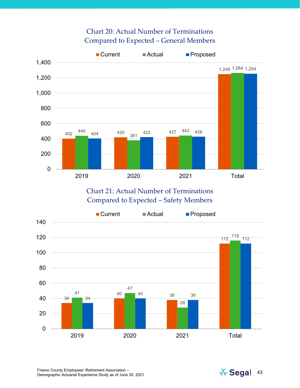#### Chart 20: Actual Number of Terminations Compared to Expected – General Members



Chart 21: Actual Number of Terminations Compared to Expected – Safety Members



Fresno County Employees' Retirement Association – Fresno County Employees' Retirement Association –<br>Demographic Actuarial Experience Study as of June 30, 2021 43

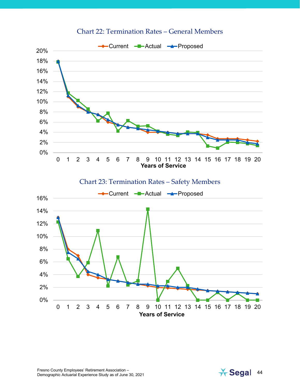

#### Chart 22: Termination Rates – General Members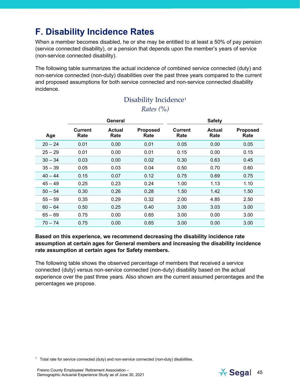## <span id="page-44-0"></span>**F. Disability Incidence Rates**

When a member becomes disabled, he or she may be entitled to at least a 50% of pay pension (service connected disability), or a pension that depends upon the member's years of service (non-service connected disability).

The following table summarizes the actual incidence of combined service connected (duty) and non-service connected (non-duty) disabilities over the past three years compared to the current and proposed assumptions for both service connected and non-service connected disability incidence.

## Disability Incidence<sup>[1](#page-44-1)</sup>

#### *Rates (%)*

|                 | General               |                         |                        | <b>Safety</b>  |                         |
|-----------------|-----------------------|-------------------------|------------------------|----------------|-------------------------|
| Current<br>Rate | <b>Actual</b><br>Rate | <b>Proposed</b><br>Rate | <b>Current</b><br>Rate | Actual<br>Rate | <b>Proposed</b><br>Rate |
| 0.01            | 0.00                  | 0.01                    | 0.05                   | 0.00           | 0.05                    |
| 0.01            | 0.00                  | 0.01                    | 0.15                   | 0.00           | 0.15                    |
| 0.03            | 0.00                  | 0.02                    | 0.30                   | 0.63           | 0.45                    |
| 0.05            | 0.03                  | 0.04                    | 0.50                   | 0.70           | 0.60                    |
| 0.15            | 0.07                  | 0.12                    | 0.75                   | 0.69           | 0.75                    |
| 0.25            | 0.23                  | 0.24                    | 1.00                   | 1.13           | 1.10                    |
| 0.30            | 0.26                  | 0.28                    | 1.50                   | 1.42           | 1.50                    |
| 0.35            | 0.29                  | 0.32                    | 2.00                   | 4.85           | 2.50                    |
| 0.50            | 0.25                  | 0.40                    | 3.00                   | 3.03           | 3.00                    |
| 0.75            | 0.00                  | 0.65                    | 3.00                   | 0.00           | 3.00                    |
| 0.75            | 0.00                  | 0.65                    | 3.00                   | 0.00           | 3.00                    |
|                 |                       |                         |                        |                |                         |

#### **Based on this experience, we recommend decreasing the disability incidence rate assumption at certain ages for General members and increasing the disability incidence rate assumption at certain ages for Safety members.**

The following table shows the observed percentage of members that received a service connected (duty) versus non-service connected (non-duty) disability based on the actual experience over the past three years. Also shown are the current assumed percentages and the percentages we propose.

<span id="page-44-1"></span> $1$  Total rate for service connected (duty) and non-service connected (non-duty) disabilities.

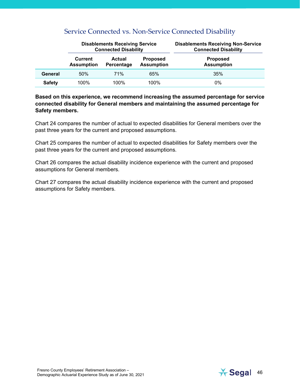|               |                                     | <b>Disablements Receiving Service</b><br><b>Connected Disability</b> |                                      | <b>Disablements Receiving Non-Service</b><br><b>Connected Disability</b> |
|---------------|-------------------------------------|----------------------------------------------------------------------|--------------------------------------|--------------------------------------------------------------------------|
|               | <b>Current</b><br><b>Assumption</b> | <b>Actual</b><br>Percentage                                          | <b>Proposed</b><br><b>Assumption</b> | <b>Proposed</b><br><b>Assumption</b>                                     |
| General       | 50%                                 | 71%                                                                  | 65%                                  | 35%                                                                      |
| <b>Safety</b> | 100%                                | $100\%$                                                              | 100%                                 | 0%                                                                       |

#### Service Connected vs. Non-Service Connected Disability

**Based on this experience, we recommend increasing the assumed percentage for service connected disability for General members and maintaining the assumed percentage for Safety members.** 

Chart 24 compares the number of actual to expected disabilities for General members over the past three years for the current and proposed assumptions.

Chart 25 compares the number of actual to expected disabilities for Safety members over the past three years for the current and proposed assumptions.

Chart 26 compares the actual disability incidence experience with the current and proposed assumptions for General members.

Chart 27 compares the actual disability incidence experience with the current and proposed assumptions for Safety members.

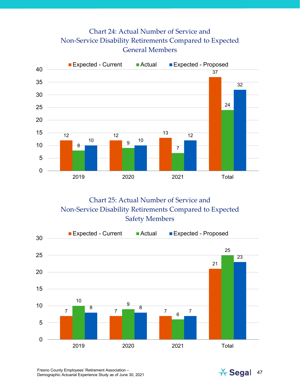### Chart 24: Actual Number of Service and Non-Service Disability Retirements Compared to Expected General Members



Chart 25: Actual Number of Service and Non-Service Disability Retirements Compared to Expected Safety Members



Fresno County Employees' Retirement Association – Fresno County Employees' Retirement Association –<br>Demographic Actuarial Experience Study as of June 30, 2021 47

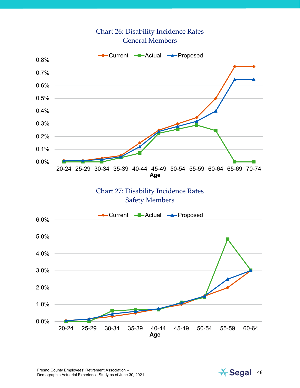#### Chart 26: Disability Incidence Rates General Members



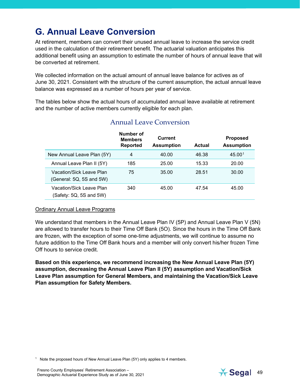## <span id="page-48-0"></span>**G. Annual Leave Conversion**

At retirement, members can convert their unused annual leave to increase the service credit used in the calculation of their retirement benefit. The actuarial valuation anticipates this additional benefit using an assumption to estimate the number of hours of annual leave that will be converted at retirement.

We collected information on the actual amount of annual leave balance for actives as of June 30, 2021. Consistent with the structure of the current assumption, the actual annual leave balance was expressed as a number of hours per year of service.

The tables below show the actual hours of accumulated annual leave available at retirement and the number of active members currently eligible for each plan.

|                                                      | Number of<br><b>Members</b><br><b>Reported</b> | <b>Current</b><br><b>Assumption</b> | <b>Actual</b> | <b>Proposed</b><br><b>Assumption</b> |
|------------------------------------------------------|------------------------------------------------|-------------------------------------|---------------|--------------------------------------|
| New Annual Leave Plan (5Y)                           | 4                                              | 40.00                               | 46.38         | 45.001                               |
| Annual Leave Plan II (5Y)                            | 185                                            | 25.00                               | 15.33         | 20.00                                |
| Vacation/Sick Leave Plan<br>(General: 5Q, 5S and 5W) | 75                                             | 35.00                               | 28.51         | 30.00                                |
| Vacation/Sick Leave Plan<br>(Safety: 5Q, 5S and 5W)  | 340                                            | 45.00                               | 47.54         | 45.00                                |

#### Annual Leave Conversion

#### Ordinary Annual Leave Programs

We understand that members in the Annual Leave Plan IV (5P) and Annual Leave Plan V (5N) are allowed to transfer hours to their Time Off Bank (5O). Since the hours in the Time Off Bank are frozen, with the exception of some one-time adjustments, we will continue to assume no future addition to the Time Off Bank hours and a member will only convert his/her frozen Time Off hours to service credit.

**Based on this experience, we recommend increasing the New Annual Leave Plan (5Y) assumption, decreasing the Annual Leave Plan II (5Y) assumption and Vacation/Sick Leave Plan assumption for General Members, and maintaining the Vacation/Sick Leave Plan assumption for Safety Members.** 

<span id="page-48-1"></span><sup>1</sup> Note the proposed hours of New Annual Leave Plan  $(5Y)$  only applies to 4 members.

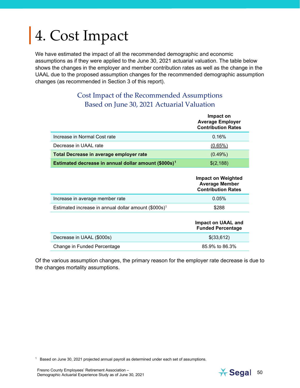# <span id="page-49-0"></span>4. Cost Impact

We have estimated the impact of all the recommended demographic and economic assumptions as if they were applied to the June 30, 2021 actuarial valuation. The table below shows the changes in the employer and member contribution rates as well as the change in the UAAL due to the proposed assumption changes for the recommended demographic assumption changes (as recommended in Section 3 of this report).

#### Cost Impact of the Recommended Assumptions Based on June 30, 2021 Actuarial Valuation

|                                                                  | Impact on<br><b>Average Employer</b><br><b>Contribution Rates</b> |
|------------------------------------------------------------------|-------------------------------------------------------------------|
| Increase in Normal Cost rate                                     | 0.16%                                                             |
| Decrease in UAAL rate                                            | $(0.65\%)$                                                        |
| Total Decrease in average employer rate                          | $(0.49\%)$                                                        |
| Estimated decrease in annual dollar amount (\$000s) <sup>1</sup> | \$(2,188)                                                         |

|                                                                  | Impact on Weighted<br><b>Average Member</b><br><b>Contribution Rates</b> |
|------------------------------------------------------------------|--------------------------------------------------------------------------|
| Increase in average member rate                                  | 0.05%                                                                    |
| Estimated increase in annual dollar amount (\$000s) <sup>1</sup> | \$288                                                                    |
|                                                                  | Impact on UAAL and<br><b>Funded Percentage</b>                           |
| Decrease in UAAL (\$000s)                                        | \$(33,612)                                                               |
| Change in Funded Percentage                                      | 85.9% to 86.3%                                                           |

Of the various assumption changes, the primary reason for the employer rate decrease is due to the changes mortality assumptions.

<span id="page-49-1"></span><sup>1</sup> Based on June 30, 2021 projected annual payroll as determined under each set of assumptions.

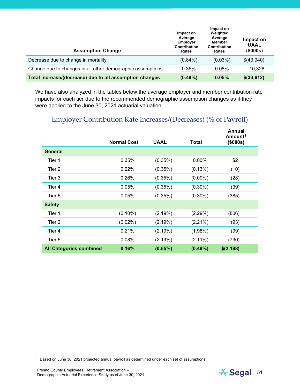| <b>Assumption Change</b>                                   | Impact on<br>Average<br><b>Employer</b><br><b>Contribution</b><br>Rates | Impact on<br>Weighted<br>Average<br><b>Member</b><br><b>Contribution</b><br>Rates | Impact on<br><b>UAAL</b><br>(\$000s) |
|------------------------------------------------------------|-------------------------------------------------------------------------|-----------------------------------------------------------------------------------|--------------------------------------|
| Decrease due to change in mortality                        | $(0.84\%)$                                                              | $(0.03\%)$                                                                        | \$(43,940)                           |
| Change due to changes in all other demographic assumptions | 0.35%                                                                   | 0.08%                                                                             | 10,328                               |
| Total increase/(decrease) due to all assumption changes    | $(0.49\%)$                                                              | 0.05%                                                                             | $$$ (33,612)                         |

We have also analyzed in the tables below the average employer and member contribution rate impacts for each tier due to the recommended demographic assumption changes as if they were applied to the June 30, 2021 actuarial valuation.

#### Employer Contribution Rate Increases/(Decreases) (% of Payroll)

|                                | <b>Normal Cost</b> | UAAL    | Total      | Annual<br>Amount <sup>1</sup><br>(\$000s) |
|--------------------------------|--------------------|---------|------------|-------------------------------------------|
| <b>General</b>                 |                    |         |            |                                           |
| Tier 1                         | 0.35%              | (0.35%) | 0.00%      | \$2                                       |
| Tier 2                         | 0.22%              | (0.35%) | (0.13%)    | (10)                                      |
| Tier 3                         | 0.26%              | (0.35%) | $(0.09\%)$ | (28)                                      |
| Tier 4                         | 0.05%              | (0.35%) | $(0.30\%)$ | (39)                                      |
| Tier 5                         | 0.05%              | (0.35%) | $(0.30\%)$ | (385)                                     |
| <b>Safety</b>                  |                    |         |            |                                           |
| Tier 1                         | $(0.10\%)$         | (2.19%) | (2.29%)    | (806)                                     |
| Tier 2                         | $(0.02\%)$         | (2.19%) | $(2.21\%)$ | (93)                                      |
| Tier 4                         | 0.21%              | (2.19%) | (1.98%)    | (99)                                      |
| Tier 5                         | 0.08%              | (2.19%) | $(2.11\%)$ | (730)                                     |
| <b>All Categories combined</b> | 0.16%              | (0.65%) | $(0.49\%)$ | \$(2,188)                                 |

<span id="page-50-1"></span><span id="page-50-0"></span> $1$  Based on June 30, 2021 projected annual payroll as determined under each set of assumptions.

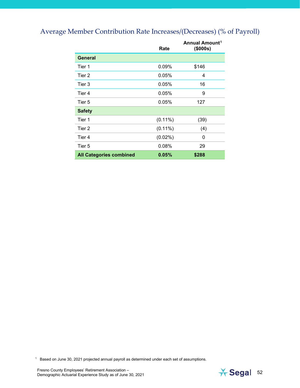#### Average Member Contribution Rate Increases/(Decreases) (% of Payroll)

|                                | Rate       | Annual Amount <sup>1</sup><br>(\$000s) |
|--------------------------------|------------|----------------------------------------|
| <b>General</b>                 |            |                                        |
| Tier 1                         | 0.09%      | \$146                                  |
| Tier 2                         | 0.05%      | 4                                      |
| Tier 3                         | 0.05%      | 16                                     |
| Tier 4                         | 0.05%      | 9                                      |
| Tier 5                         | 0.05%      | 127                                    |
| <b>Safety</b>                  |            |                                        |
| Tier 1                         | $(0.11\%)$ | (39)                                   |
| Tier 2                         | $(0.11\%)$ | (4)                                    |
| Tier 4                         | $(0.02\%)$ | 0                                      |
| Tier 5                         | 0.08%      | 29                                     |
| <b>All Categories combined</b> | 0.05%      | \$288                                  |

<span id="page-51-0"></span> $1$  Based on June 30, 2021 projected annual payroll as determined under each set of assumptions.

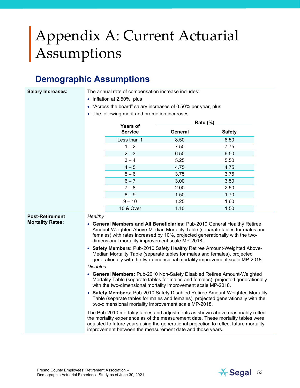## <span id="page-52-0"></span>Appendix A: Current Actuarial Assumptions

## **Demographic Assumptions**

**Salary Increases:** The annual rate of compensation increase includes:

- Inflation at 2.50%, plus
- "Across the board" salary increases of 0.50% per year, plus
- The following merit and promotion increases:

|                         |                                                                                                                                                                                                                                                                                                                                                                                                                                                                                                                                                                                                                                                                                                                                                                                                                                                                                                                                                                                                                                                                                                                                                                                                         | <b>Years of</b> |         | Rate (%)      |  |  |
|-------------------------|---------------------------------------------------------------------------------------------------------------------------------------------------------------------------------------------------------------------------------------------------------------------------------------------------------------------------------------------------------------------------------------------------------------------------------------------------------------------------------------------------------------------------------------------------------------------------------------------------------------------------------------------------------------------------------------------------------------------------------------------------------------------------------------------------------------------------------------------------------------------------------------------------------------------------------------------------------------------------------------------------------------------------------------------------------------------------------------------------------------------------------------------------------------------------------------------------------|-----------------|---------|---------------|--|--|
|                         |                                                                                                                                                                                                                                                                                                                                                                                                                                                                                                                                                                                                                                                                                                                                                                                                                                                                                                                                                                                                                                                                                                                                                                                                         | <b>Service</b>  | General | <b>Safety</b> |  |  |
|                         |                                                                                                                                                                                                                                                                                                                                                                                                                                                                                                                                                                                                                                                                                                                                                                                                                                                                                                                                                                                                                                                                                                                                                                                                         | Less than 1     | 8.50    | 8.50          |  |  |
|                         |                                                                                                                                                                                                                                                                                                                                                                                                                                                                                                                                                                                                                                                                                                                                                                                                                                                                                                                                                                                                                                                                                                                                                                                                         | $1 - 2$         | 7.50    | 7.75          |  |  |
|                         |                                                                                                                                                                                                                                                                                                                                                                                                                                                                                                                                                                                                                                                                                                                                                                                                                                                                                                                                                                                                                                                                                                                                                                                                         | $2 - 3$         | 6.50    | 6.50          |  |  |
|                         |                                                                                                                                                                                                                                                                                                                                                                                                                                                                                                                                                                                                                                                                                                                                                                                                                                                                                                                                                                                                                                                                                                                                                                                                         | $3 - 4$         | 5.25    | 5.50          |  |  |
|                         |                                                                                                                                                                                                                                                                                                                                                                                                                                                                                                                                                                                                                                                                                                                                                                                                                                                                                                                                                                                                                                                                                                                                                                                                         | $4 - 5$         | 4.75    | 4.75          |  |  |
|                         |                                                                                                                                                                                                                                                                                                                                                                                                                                                                                                                                                                                                                                                                                                                                                                                                                                                                                                                                                                                                                                                                                                                                                                                                         | $5 - 6$         | 3.75    | 3.75          |  |  |
|                         |                                                                                                                                                                                                                                                                                                                                                                                                                                                                                                                                                                                                                                                                                                                                                                                                                                                                                                                                                                                                                                                                                                                                                                                                         | $6 - 7$         | 3.00    | 3.50          |  |  |
|                         |                                                                                                                                                                                                                                                                                                                                                                                                                                                                                                                                                                                                                                                                                                                                                                                                                                                                                                                                                                                                                                                                                                                                                                                                         | $7 - 8$         | 2.00    | 2.50          |  |  |
|                         |                                                                                                                                                                                                                                                                                                                                                                                                                                                                                                                                                                                                                                                                                                                                                                                                                                                                                                                                                                                                                                                                                                                                                                                                         | $8 - 9$         | 1.50    | 1.70          |  |  |
|                         |                                                                                                                                                                                                                                                                                                                                                                                                                                                                                                                                                                                                                                                                                                                                                                                                                                                                                                                                                                                                                                                                                                                                                                                                         | $9 - 10$        | 1.25    | 1.60          |  |  |
|                         |                                                                                                                                                                                                                                                                                                                                                                                                                                                                                                                                                                                                                                                                                                                                                                                                                                                                                                                                                                                                                                                                                                                                                                                                         | 10 & Over       | 1.10    | 1.50          |  |  |
| <b>Mortality Rates:</b> | Healthy<br>• General Members and All Beneficiaries: Pub-2010 General Healthy Retiree<br>Amount-Weighted Above-Median Mortality Table (separate tables for males and<br>females) with rates increased by 10%, projected generationally with the two-<br>dimensional mortality improvement scale MP-2018.<br>• Safety Members: Pub-2010 Safety Healthy Retiree Amount-Weighted Above-<br>Median Mortality Table (separate tables for males and females), projected<br>generationally with the two-dimensional mortality improvement scale MP-2018.<br><b>Disabled</b><br>• General Members: Pub-2010 Non-Safety Disabled Retiree Amount-Weighted<br>Mortality Table (separate tables for males and females), projected generationally<br>with the two-dimensional mortality improvement scale MP-2018.<br>• Safety Members: Pub-2010 Safety Disabled Retiree Amount-Weighted Mortality<br>Table (separate tables for males and females), projected generationally with the<br>two-dimensional mortality improvement scale MP-2018.<br>The Pub-2010 mortality tables and adjustments as shown above reasonably reflect<br>the mortality experience as of the measurement date. These mortality tables were |                 |         |               |  |  |

improvement between the measurement date and those years.

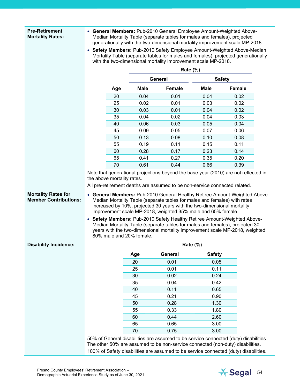#### **Pre-Retirement Mortality Rates:**

- **General Members:** Pub-2010 General Employee Amount-Weighted Above-Median Mortality Table (separate tables for males and females), projected generationally with the two-dimensional mortality improvement scale MP-2018.
- **Safety Members:** Pub-2010 Safety Employee Amount-Weighted Above-Median Mortality Table (separate tables for males and females), projected generationally with the two-dimensional mortality improvement scale MP-2018.

|                              |                            | <b>Rate (%)</b>          |                                                                            |                 |                                                                                                                                                                                                                                          |  |
|------------------------------|----------------------------|--------------------------|----------------------------------------------------------------------------|-----------------|------------------------------------------------------------------------------------------------------------------------------------------------------------------------------------------------------------------------------------------|--|
|                              |                            |                          | <b>General</b>                                                             |                 | <b>Safety</b>                                                                                                                                                                                                                            |  |
|                              | Age                        | <b>Male</b>              | <b>Female</b>                                                              | <b>Male</b>     | <b>Female</b>                                                                                                                                                                                                                            |  |
|                              | 20                         | 0.04                     | 0.01                                                                       | 0.04            | 0.02                                                                                                                                                                                                                                     |  |
|                              | 25                         | 0.02                     | 0.01                                                                       | 0.03            | 0.02                                                                                                                                                                                                                                     |  |
|                              | 30                         | 0.03                     | 0.01                                                                       | 0.04            | 0.02                                                                                                                                                                                                                                     |  |
|                              | 35                         | 0.04                     | 0.02                                                                       | 0.04            | 0.03                                                                                                                                                                                                                                     |  |
|                              | 40                         | 0.06                     | 0.03                                                                       | 0.05            | 0.04                                                                                                                                                                                                                                     |  |
|                              | 45                         | 0.09                     | 0.05                                                                       | 0.07            | 0.06                                                                                                                                                                                                                                     |  |
|                              | 50                         | 0.13                     | 0.08                                                                       | 0.10            | 0.08                                                                                                                                                                                                                                     |  |
|                              | 55                         | 0.19                     | 0.11                                                                       | 0.15            | 0.11                                                                                                                                                                                                                                     |  |
|                              | 60                         | 0.28                     | 0.17                                                                       | 0.23            | 0.14                                                                                                                                                                                                                                     |  |
|                              | 65                         | 0.41                     | 0.27                                                                       | 0.35            | 0.20                                                                                                                                                                                                                                     |  |
|                              | 70                         | 0.61                     | 0.44                                                                       | 0.66            | 0.39                                                                                                                                                                                                                                     |  |
|                              | the above mortality rates. |                          | All pre-retirement deaths are assumed to be non-service connected related. |                 |                                                                                                                                                                                                                                          |  |
|                              |                            | 80% male and 20% female. | improvement scale MP-2018, weighted 35% male and 65% female.               |                 | • Safety Members: Pub-2010 Safety Healthy Retiree Amount-Weighted Above-<br>Median Mortality Table (separate tables for males and females), projected 30<br>years with the two-dimensional mortality improvement scale MP-2018, weighted |  |
| <b>Disability Incidence:</b> |                            |                          |                                                                            | <b>Rate (%)</b> |                                                                                                                                                                                                                                          |  |
|                              |                            | Age                      | General                                                                    | <b>Safety</b>   |                                                                                                                                                                                                                                          |  |
|                              |                            | 20                       | 0.01                                                                       | 0.05            |                                                                                                                                                                                                                                          |  |
|                              |                            | 25                       | 0.01                                                                       | 0.11            |                                                                                                                                                                                                                                          |  |
|                              |                            | 30                       | 0.02                                                                       | 0.24            |                                                                                                                                                                                                                                          |  |
|                              |                            | 35                       | 0.04                                                                       | 0.42            |                                                                                                                                                                                                                                          |  |
|                              |                            | 40                       | 0.11                                                                       | 0.65            |                                                                                                                                                                                                                                          |  |
|                              |                            | 45                       | 0.21                                                                       | 0.90            |                                                                                                                                                                                                                                          |  |
|                              |                            | 50                       | 0.28                                                                       | 1.30            |                                                                                                                                                                                                                                          |  |
|                              |                            | 55                       | 0.33                                                                       | 1.80            |                                                                                                                                                                                                                                          |  |
|                              |                            | 60                       | 0.44                                                                       | 2.60            |                                                                                                                                                                                                                                          |  |
|                              |                            | 65                       | 0.65                                                                       | 3.00            |                                                                                                                                                                                                                                          |  |
|                              |                            | 70                       | 0.75                                                                       | 3.00            |                                                                                                                                                                                                                                          |  |
|                              |                            |                          |                                                                            |                 | 50% of General disabilities are assumed to be service connected (duty) disabilities.<br>The other 50% are assumed to be non-service connected (non-duty) disabilities.                                                                   |  |
|                              |                            |                          |                                                                            |                 | 100% of Safety disabilities are assumed to be service connected (duty) disabilities.                                                                                                                                                     |  |

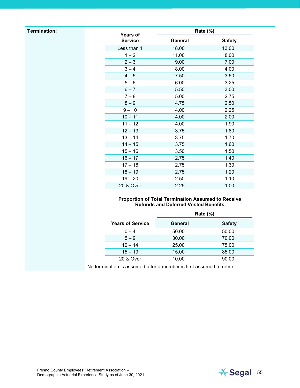#### **Termination:**

| <b>Years of</b> | <b>Rate (%)</b> |               |  |  |  |
|-----------------|-----------------|---------------|--|--|--|
| <b>Service</b>  | <b>General</b>  | <b>Safety</b> |  |  |  |
| Less than 1     | 18.00           | 13.00         |  |  |  |
| $1 - 2$         | 11.00           | 8.00          |  |  |  |
| $2 - 3$         | 9.00            | 7.00          |  |  |  |
| $3 - 4$         | 8.00            | 4.00          |  |  |  |
| $4 - 5$         | 7.50            | 3.50          |  |  |  |
| $5 - 6$         | 6.00            | 3.25          |  |  |  |
| $6 - 7$         | 5.50            | 3.00          |  |  |  |
| $7 - 8$         | 5.00            | 2.75          |  |  |  |
| $8 - 9$         | 4.75            | 2.50          |  |  |  |
| $9 - 10$        | 4.00            | 2.25          |  |  |  |
| $10 - 11$       | 4.00            | 2.00          |  |  |  |
| $11 - 12$       | 4.00            | 1.90          |  |  |  |
| $12 - 13$       | 3.75            | 1.80          |  |  |  |
| $13 - 14$       | 3.75            | 1.70          |  |  |  |
| $14 - 15$       | 3.75            | 1.60          |  |  |  |
| $15 - 16$       | 3.50            | 1.50          |  |  |  |
| $16 - 17$       | 2.75            | 1.40          |  |  |  |
| $17 - 18$       | 2.75            | 1.30          |  |  |  |
| $18 - 19$       | 2.75            | 1.20          |  |  |  |
| $19 - 20$       | 2.50            | 1.10          |  |  |  |
| 20 & Over       | 2.25            | 1.00          |  |  |  |

#### **Proportion of Total Termination Assumed to Receive Refunds and Deferred Vested Benefits**

|                         | <b>Rate (%)</b> |               |  |
|-------------------------|-----------------|---------------|--|
| <b>Years of Service</b> | General         | <b>Safety</b> |  |
| $0 - 4$                 | 50.00           | 50.00         |  |
| $5 - 9$                 | 30.00           | 70.00         |  |
| $10 - 14$               | 25.00           | 75.00         |  |
| $15 - 19$               | 15.00           | 85.00         |  |
| 20 & Over               | 10.00           | 90.00         |  |

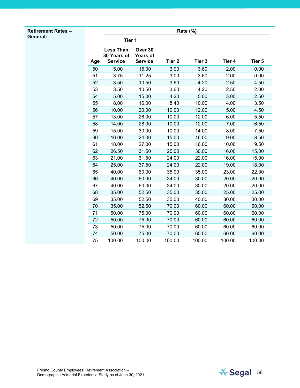#### **Retirement Rates – General:**

|     | <b>Rate (%)</b>                                   |                                              |                   |                   |        |        |
|-----|---------------------------------------------------|----------------------------------------------|-------------------|-------------------|--------|--------|
|     | Tier 1                                            |                                              |                   |                   |        |        |
| Age | <b>Less Than</b><br>30 Years of<br><b>Service</b> | Over 30<br><b>Years of</b><br><b>Service</b> | Tier <sub>2</sub> | Tier <sub>3</sub> | Tier 4 | Tier 5 |
| 50  | 5.00                                              | 15.00                                        | 3.00              | 3.60              | 2.00   | 0.00   |
| 51  | 3.75                                              | 11.25                                        | 3.00              | 3.60              | 2.00   | 0.00   |
| 52  | 3.50                                              | 10.50                                        | 3.60              | 4.20              | 2.50   | 4.50   |
| 53  | 3.50                                              | 10.50                                        | 3.60              | 4.20              | 2.50   | 2.00   |
| 54  | 5.00                                              | 15.00                                        | 4.20              | 5.00              | 3.00   | 2.50   |
| 55  | 8.00                                              | 16.00                                        | 8.40              | 10.00             | 4.00   | 3.50   |
| 56  | 10.00                                             | 20.00                                        | 10.00             | 12.00             | 5.00   | 4.50   |
| 57  | 13.00                                             | 26.00                                        | 10.00             | 12.00             | 6.00   | 5.50   |
| 58  | 14.00                                             | 28.00                                        | 10.00             | 12.00             | 7.00   | 6.50   |
| 59  | 15.00                                             | 30.00                                        | 10.00             | 14.00             | 8.00   | 7.50   |
| 60  | 16.00                                             | 24.00                                        | 15.00             | 16.00             | 9.00   | 8.50   |
| 61  | 18.00                                             | 27.00                                        | 15.00             | 16.00             | 10.00  | 9.50   |
| 62  | 26.50                                             | 31.50                                        | 25.00             | 30.00             | 16.00  | 15.00  |
| 63  | 21.00                                             | 31.50                                        | 24.00             | 22.00             | 16.00  | 15.00  |
| 64  | 25.00                                             | 37.50                                        | 24.00             | 22.00             | 19.00  | 18.00  |
| 65  | 40.00                                             | 60.00                                        | 35.00             | 35.00             | 23.00  | 22.00  |
| 66  | 40.00                                             | 60.00                                        | 34.00             | 30.00             | 20.00  | 20.00  |
| 67  | 40.00                                             | 60.00                                        | 34.00             | 30.00             | 20.00  | 20.00  |
| 68  | 35.00                                             | 52.50                                        | 35.00             | 35.00             | 25.00  | 25.00  |
| 69  | 35.00                                             | 52.50                                        | 35.00             | 40.00             | 30.00  | 30.00  |
| 70  | 35.00                                             | 52.50                                        | 70.00             | 60.00             | 60.00  | 60.00  |
| 71  | 50.00                                             | 75.00                                        | 70.00             | 60.00             | 60.00  | 60.00  |
| 72  | 50.00                                             | 75.00                                        | 70.00             | 60.00             | 60.00  | 60.00  |
| 73  | 50.00                                             | 75.00                                        | 70.00             | 60.00             | 60.00  | 60.00  |
| 74  | 50.00                                             | 75.00                                        | 70.00             | 60.00             | 60.00  | 60.00  |
| 75  | 100.00                                            | 100.00                                       | 100.00            | 100.00            | 100.00 | 100.00 |

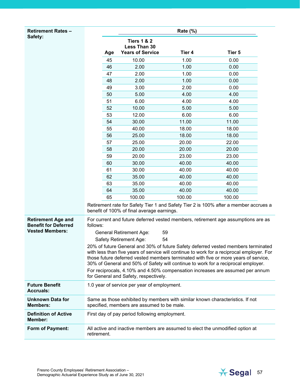| <b>Retirement Rates -</b>                                |             |                                               |             |                                                                                                                                                                                                                                                                                                                                                            |  |
|----------------------------------------------------------|-------------|-----------------------------------------------|-------------|------------------------------------------------------------------------------------------------------------------------------------------------------------------------------------------------------------------------------------------------------------------------------------------------------------------------------------------------------------|--|
| Safety:                                                  |             |                                               | Rate $(\%)$ |                                                                                                                                                                                                                                                                                                                                                            |  |
|                                                          |             | <b>Tiers 1 &amp; 2</b><br>Less Than 30        |             |                                                                                                                                                                                                                                                                                                                                                            |  |
|                                                          | Age         | <b>Years of Service</b>                       | Tier 4      | Tier 5                                                                                                                                                                                                                                                                                                                                                     |  |
|                                                          | 45          | 10.00                                         | 1.00        | 0.00                                                                                                                                                                                                                                                                                                                                                       |  |
|                                                          | 46          | 2.00                                          | 1.00        | 0.00                                                                                                                                                                                                                                                                                                                                                       |  |
|                                                          | 47          | 2.00                                          | 1.00        | 0.00                                                                                                                                                                                                                                                                                                                                                       |  |
|                                                          | 48          | 2.00                                          | 1.00        | 0.00                                                                                                                                                                                                                                                                                                                                                       |  |
|                                                          | 49          | 3.00                                          | 2.00        | 0.00                                                                                                                                                                                                                                                                                                                                                       |  |
|                                                          | 50          | 5.00                                          | 4.00        | 4.00                                                                                                                                                                                                                                                                                                                                                       |  |
|                                                          | 51          | 6.00                                          | 4.00        | 4.00                                                                                                                                                                                                                                                                                                                                                       |  |
|                                                          | 52          | 10.00                                         | 5.00        | 5.00                                                                                                                                                                                                                                                                                                                                                       |  |
|                                                          | 53          | 12.00                                         | 6.00        | 6.00                                                                                                                                                                                                                                                                                                                                                       |  |
|                                                          | 54          | 30.00                                         | 11.00       | 11.00                                                                                                                                                                                                                                                                                                                                                      |  |
|                                                          | 55          | 40.00                                         | 18.00       | 18.00                                                                                                                                                                                                                                                                                                                                                      |  |
|                                                          | 56          | 25.00                                         | 18.00       | 18.00                                                                                                                                                                                                                                                                                                                                                      |  |
|                                                          | 57          | 25.00                                         | 20.00       | 22.00                                                                                                                                                                                                                                                                                                                                                      |  |
|                                                          | 58          | 20.00                                         | 20.00       | 20.00                                                                                                                                                                                                                                                                                                                                                      |  |
|                                                          | 59          | 20.00                                         | 23.00       | 23.00                                                                                                                                                                                                                                                                                                                                                      |  |
|                                                          | 60          | 30.00                                         | 40.00       | 40.00                                                                                                                                                                                                                                                                                                                                                      |  |
|                                                          | 61          | 30.00                                         | 40.00       | 40.00                                                                                                                                                                                                                                                                                                                                                      |  |
|                                                          | 62          | 35.00                                         | 40.00       | 40.00                                                                                                                                                                                                                                                                                                                                                      |  |
|                                                          | 63          | 35.00                                         | 40.00       | 40.00                                                                                                                                                                                                                                                                                                                                                      |  |
|                                                          | 64          | 35.00                                         | 40.00       | 40.00                                                                                                                                                                                                                                                                                                                                                      |  |
|                                                          | 65          | 100.00                                        | 100.00      | 100.00                                                                                                                                                                                                                                                                                                                                                     |  |
|                                                          |             | benefit of 100% of final average earnings.    |             | Retirement rate for Safety Tier 1 and Safety Tier 2 is 100% after a member accrues a                                                                                                                                                                                                                                                                       |  |
| <b>Retirement Age and</b><br><b>Benefit for Deferred</b> | follows:    |                                               |             | For current and future deferred vested members, retirement age assumptions are as                                                                                                                                                                                                                                                                          |  |
| <b>Vested Members:</b>                                   |             | General Retirement Age:                       | 59          |                                                                                                                                                                                                                                                                                                                                                            |  |
|                                                          |             | Safety Retirement Age:                        | 54          |                                                                                                                                                                                                                                                                                                                                                            |  |
|                                                          |             |                                               |             | 20% of future General and 30% of future Safety deferred vested members terminated<br>with less than five years of service will continue to work for a reciprocal employer. For<br>those future deferred vested members terminated with five or more years of service,<br>30% of General and 50% of Safety will continue to work for a reciprocal employer. |  |
|                                                          |             | for General and Safety, respectively.         |             | For reciprocals, 4.10% and 4.50% compensation increases are assumed per annum                                                                                                                                                                                                                                                                              |  |
| <b>Future Benefit</b><br><b>Accruals:</b>                |             | 1.0 year of service per year of employment.   |             |                                                                                                                                                                                                                                                                                                                                                            |  |
| Unknown Data for<br><b>Members:</b>                      |             | specified, members are assumed to be male.    |             | Same as those exhibited by members with similar known characteristics. If not                                                                                                                                                                                                                                                                              |  |
| <b>Definition of Active</b><br>Member:                   |             | First day of pay period following employment. |             |                                                                                                                                                                                                                                                                                                                                                            |  |
| <b>Form of Payment:</b>                                  | retirement. |                                               |             | All active and inactive members are assumed to elect the unmodified option at                                                                                                                                                                                                                                                                              |  |

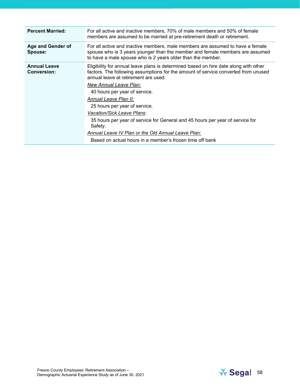| <b>Percent Married:</b>                   | For all active and inactive members, 70% of male members and 50% of female<br>members are assumed to be married at pre-retirement death or retirement.                                                                                                                                                                                                                                                                                                                                                                                                                              |
|-------------------------------------------|-------------------------------------------------------------------------------------------------------------------------------------------------------------------------------------------------------------------------------------------------------------------------------------------------------------------------------------------------------------------------------------------------------------------------------------------------------------------------------------------------------------------------------------------------------------------------------------|
| Age and Gender of<br>Spouse:              | For all active and inactive members, male members are assumed to have a female<br>spouse who is 3 years younger than the member and female members are assumed<br>to have a male spouse who is 2 years older than the member.                                                                                                                                                                                                                                                                                                                                                       |
| <b>Annual Leave</b><br><b>Conversion:</b> | Eligibility for annual leave plans is determined based on hire date along with other<br>factors. The following assumptions for the amount of service converted from unused<br>annual leave at retirement are used:<br>New Annual Leave Plan:<br>40 hours per year of service.<br>Annual Leave Plan II:<br>25 hours per year of service.<br>Vacation/Sick Leave Plans:<br>35 hours per year of service for General and 45 hours per year of service for<br>Safety.<br>Annual Leave IV Plan or the Old Annual Leave Plan:<br>Based on actual hours in a member's frozen time off bank |

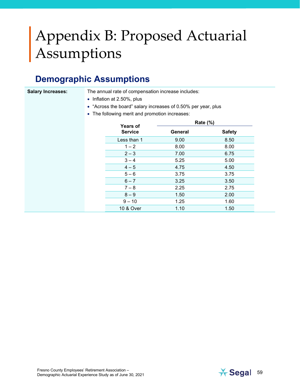## <span id="page-58-0"></span>Appendix B: Proposed Actuarial Assumptions

## **Demographic Assumptions**

**Salary Increases:** The annual rate of compensation increase includes:

- Inflation at 2.50%, plus
- "Across the board" salary increases of 0.50% per year, plus
- The following merit and promotion increases:

| <b>Years of</b> |         | Rate (%)      |
|-----------------|---------|---------------|
| <b>Service</b>  | General | <b>Safety</b> |
| Less than 1     | 9.00    | 8.50          |
| $1 - 2$         | 8.00    | 8.00          |
| $2 - 3$         | 7.00    | 6.75          |
| $3 - 4$         | 5.25    | 5.00          |
| $4 - 5$         | 4.75    | 4.50          |
| $5 - 6$         | 3.75    | 3.75          |
| $6 - 7$         | 3.25    | 3.50          |
| $7 - 8$         | 2.25    | 2.75          |
| $8 - 9$         | 1.50    | 2.00          |
| $9 - 10$        | 1.25    | 1.60          |
| 10 & Over       | 1.10    | 1.50          |

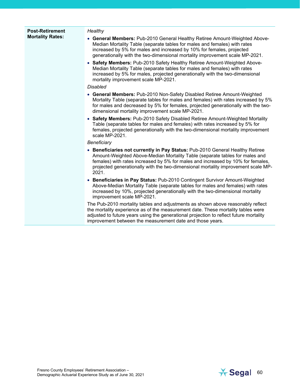| <b>Post-Retirement</b>  | Healthy                                                                                                                                                                                                                                                                                                                                       |
|-------------------------|-----------------------------------------------------------------------------------------------------------------------------------------------------------------------------------------------------------------------------------------------------------------------------------------------------------------------------------------------|
| <b>Mortality Rates:</b> | • General Members: Pub-2010 General Healthy Retiree Amount-Weighted Above-<br>Median Mortality Table (separate tables for males and females) with rates<br>increased by 5% for males and increased by 10% for females, projected<br>generationally with the two-dimensional mortality improvement scale MP-2021.                              |
|                         | • Safety Members: Pub-2010 Safety Healthy Retiree Amount-Weighted Above-<br>Median Mortality Table (separate tables for males and females) with rates<br>increased by 5% for males, projected generationally with the two-dimensional<br>mortality improvement scale MP-2021.                                                                 |
|                         | <b>Disabled</b>                                                                                                                                                                                                                                                                                                                               |
|                         | • General Members: Pub-2010 Non-Safety Disabled Retiree Amount-Weighted<br>Mortality Table (separate tables for males and females) with rates increased by 5%<br>for males and decreased by 5% for females, projected generationally with the two-<br>dimensional mortality improvement scale MP-2021.                                        |
|                         | • Safety Members: Pub-2010 Safety Disabled Retiree Amount-Weighted Mortality<br>Table (separate tables for males and females) with rates increased by 5% for<br>females, projected generationally with the two-dimensional mortality improvement<br>scale MP-2021.                                                                            |
|                         | Beneficiary                                                                                                                                                                                                                                                                                                                                   |
|                         | • Beneficiaries not currently in Pay Status: Pub-2010 General Healthy Retiree<br>Amount-Weighted Above-Median Mortality Table (separate tables for males and<br>females) with rates increased by 5% for males and increased by 10% for females,<br>projected generationally with the two-dimensional mortality improvement scale MP-<br>2021. |
|                         | • Beneficiaries in Pay Status: Pub-2010 Contingent Survivor Amount-Weighted<br>Above-Median Mortality Table (separate tables for males and females) with rates<br>increased by 10%, projected generationally with the two-dimensional mortality<br>improvement scale MP-2021.                                                                 |
|                         | The Pub-2010 mortality tables and adjustments as shown above reasonably reflect<br>the mortality experience as of the measurement date. These mortality tables were<br>adjusted to future years using the generational projection to reflect future mortality<br>improvement between the measurement date and those years.                    |

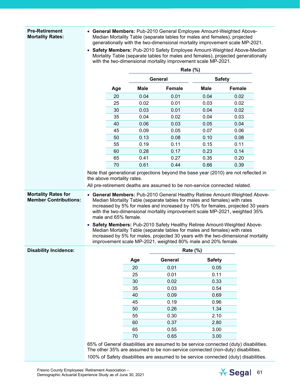#### **Pre-Retirement Mortality Rates:**

- **General Members:** Pub-2010 General Employee Amount-Weighted Above-Median Mortality Table (separate tables for males and females), projected generationally with the two-dimensional mortality improvement scale MP-2021.
- **Safety Members:** Pub-2010 Safety Employee Amount-Weighted Above-Median Mortality Table (separate tables for males and females), projected generationally with the two-dimensional mortality improvement scale MP-2021.

|                              |                            |             | <b>Rate (%)</b>                                                                                                                                                                                                                                                                                                                                                                       |                 |               |  |
|------------------------------|----------------------------|-------------|---------------------------------------------------------------------------------------------------------------------------------------------------------------------------------------------------------------------------------------------------------------------------------------------------------------------------------------------------------------------------------------|-----------------|---------------|--|
|                              |                            |             | <b>General</b>                                                                                                                                                                                                                                                                                                                                                                        |                 | <b>Safety</b> |  |
|                              | Age                        | <b>Male</b> | <b>Female</b>                                                                                                                                                                                                                                                                                                                                                                         | <b>Male</b>     | <b>Female</b> |  |
|                              | 20                         | 0.04        | 0.01                                                                                                                                                                                                                                                                                                                                                                                  | 0.04            | 0.02          |  |
|                              | 25                         | 0.02        | 0.01                                                                                                                                                                                                                                                                                                                                                                                  | 0.03            | 0.02          |  |
|                              | 30                         | 0.03        | 0.01                                                                                                                                                                                                                                                                                                                                                                                  | 0.04            | 0.02          |  |
|                              | 35                         | 0.04        | 0.02                                                                                                                                                                                                                                                                                                                                                                                  | 0.04            | 0.03          |  |
|                              | 40                         | 0.06        | 0.03                                                                                                                                                                                                                                                                                                                                                                                  | 0.05            | 0.04          |  |
|                              | 45                         | 0.09        | 0.05                                                                                                                                                                                                                                                                                                                                                                                  | 0.07            | 0.06          |  |
|                              | 50                         | 0.13        | 0.08                                                                                                                                                                                                                                                                                                                                                                                  | 0.10            | 0.08          |  |
|                              | 55                         | 0.19        | 0.11                                                                                                                                                                                                                                                                                                                                                                                  | 0.15            | 0.11          |  |
|                              | 60                         | 0.28        | 0.17                                                                                                                                                                                                                                                                                                                                                                                  | 0.23            | 0.14          |  |
|                              | 65                         | 0.41        | 0.27                                                                                                                                                                                                                                                                                                                                                                                  | 0.35            | 0.20          |  |
|                              | 70                         | 0.61        | 0.44                                                                                                                                                                                                                                                                                                                                                                                  | 0.66            | 0.39          |  |
|                              | the above mortality rates. |             | Note that generational projections beyond the base year (2010) are not reflected in<br>All pre-retirement deaths are assumed to be non-service connected related.                                                                                                                                                                                                                     |                 |               |  |
| <b>Disability Incidence:</b> | male and 65% female.       |             | with the two-dimensional mortality improvement scale MP-2021, weighted 35%<br>Safety Members: Pub-2010 Safety Healthy Retiree Amount-Weighted Above-<br>Median Mortality Table (separate tables for males and females) with rates<br>increased by 5% for males, projected 30 years with the two-dimensional mortality<br>improvement scale MP-2021, weighted 80% male and 20% female. | <b>Rate (%)</b> |               |  |
|                              |                            |             | <b>General</b>                                                                                                                                                                                                                                                                                                                                                                        | <b>Safety</b>   |               |  |
|                              |                            | Age         |                                                                                                                                                                                                                                                                                                                                                                                       |                 |               |  |
|                              |                            | 20<br>25    | 0.01                                                                                                                                                                                                                                                                                                                                                                                  | 0.05            |               |  |
|                              |                            | 30          | 0.01<br>0.02                                                                                                                                                                                                                                                                                                                                                                          | 0.11<br>0.33    |               |  |
|                              |                            | 35          | 0.03                                                                                                                                                                                                                                                                                                                                                                                  | 0.54            |               |  |
|                              |                            | 40          | 0.09                                                                                                                                                                                                                                                                                                                                                                                  | 0.69            |               |  |
|                              |                            | 45          | 0.19                                                                                                                                                                                                                                                                                                                                                                                  | 0.96            |               |  |
|                              |                            | 50          | 0.26                                                                                                                                                                                                                                                                                                                                                                                  | 1.34            |               |  |
|                              |                            |             |                                                                                                                                                                                                                                                                                                                                                                                       |                 |               |  |
|                              |                            | 55<br>60    | 0.30<br>0.37                                                                                                                                                                                                                                                                                                                                                                          | 2.10<br>2.80    |               |  |
|                              |                            | 65          | 0.55                                                                                                                                                                                                                                                                                                                                                                                  | 3.00            |               |  |
|                              |                            | 70          |                                                                                                                                                                                                                                                                                                                                                                                       |                 |               |  |
|                              |                            |             | 0.65                                                                                                                                                                                                                                                                                                                                                                                  | 3.00            |               |  |
|                              |                            |             | 65% of General disabilities are assumed to be service connected (duty) disabilities.<br>The other 35% are assumed to be non-service connected (non-duty) disabilities.                                                                                                                                                                                                                |                 |               |  |
|                              |                            |             | 100% of Safety disabilities are assumed to be service connected (duty) disabilities.                                                                                                                                                                                                                                                                                                  |                 |               |  |

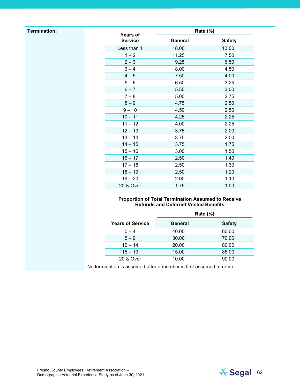#### **Termination:**

| <b>Years of</b> | <b>Rate (%)</b> |               |
|-----------------|-----------------|---------------|
| <b>Service</b>  | <b>General</b>  | <b>Safety</b> |
| Less than 1     | 18.00           | 13.00         |
| $1 - 2$         | 11.25           | 7.50          |
| $2 - 3$         | 9.25            | 6.50          |
| $3 - 4$         | 8.00            | 4.50          |
| $4 - 5$         | 7.50            | 4.00          |
| $5 - 6$         | 6.50            | 3.25          |
| $6 - 7$         | 5.50            | 3.00          |
| $7 - 8$         | 5.00            | 2.75          |
| $8 - 9$         | 4.75            | 2.50          |
| $9 - 10$        | 4.50            | 2.50          |
| $10 - 11$       | 4.25            | 2.25          |
| $11 - 12$       | 4.00            | 2.25          |
| $12 - 13$       | 3.75            | 2.00          |
| $13 - 14$       | 3.75            | 2.00          |
| $14 - 15$       | 3.75            | 1.75          |
| $15 - 16$       | 3.00            | 1.50          |
| $16 - 17$       | 2.50            | 1.40          |
| $17 - 18$       | 2.50            | 1.30          |
| $18 - 19$       | 2.50            | 1.20          |
| $19 - 20$       | 2.00            | 1.10          |
| 20 & Over       | 1.75            | 1.00          |

#### **Proportion of Total Termination Assumed to Receive Refunds and Deferred Vested Benefits**

|                         | <b>Rate (%)</b> |               |  |
|-------------------------|-----------------|---------------|--|
| <b>Years of Service</b> | General         | <b>Safety</b> |  |
| $0 - 4$                 | 40.00           | 60.00         |  |
| $5 - 9$                 | 30.00           | 70.00         |  |
| $10 - 14$               | 20.00           | 80.00         |  |
| $15 - 19$               | 15.00           | 85.00         |  |
| 20 & Over               | 10.00           | 90.00         |  |

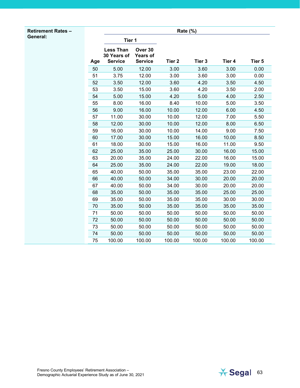#### **Retirement Rates – General:**

|     |                                                   |                                              |                   | <b>Rate (%)</b>   |        |        |
|-----|---------------------------------------------------|----------------------------------------------|-------------------|-------------------|--------|--------|
|     | Tier 1                                            |                                              |                   |                   |        |        |
| Age | <b>Less Than</b><br>30 Years of<br><b>Service</b> | Over 30<br><b>Years of</b><br><b>Service</b> | Tier <sub>2</sub> | Tier <sub>3</sub> | Tier 4 | Tier 5 |
| 50  | 5.00                                              | 12.00                                        | 3.00              | 3.60              | 3.00   | 0.00   |
| 51  | 3.75                                              | 12.00                                        | 3.00              | 3.60              | 3.00   | 0.00   |
| 52  | 3.50                                              | 12.00                                        | 3.60              | 4.20              | 3.50   | 4.50   |
| 53  | 3.50                                              | 15.00                                        | 3.60              | 4.20              | 3.50   | 2.00   |
| 54  | 5.00                                              | 15.00                                        | 4.20              | 5.00              | 4.00   | 2.50   |
| 55  | 8.00                                              | 16.00                                        | 8.40              | 10.00             | 5.00   | 3.50   |
| 56  | 9.00                                              | 16.00                                        | 10.00             | 12.00             | 6.00   | 4.50   |
| 57  | 11.00                                             | 30.00                                        | 10.00             | 12.00             | 7.00   | 5.50   |
| 58  | 12.00                                             | 30.00                                        | 10.00             | 12.00             | 8.00   | 6.50   |
| 59  | 16.00                                             | 30.00                                        | 10.00             | 14.00             | 9.00   | 7.50   |
| 60  | 17.00                                             | 30.00                                        | 15.00             | 16.00             | 10.00  | 8.50   |
| 61  | 18.00                                             | 30.00                                        | 15.00             | 16.00             | 11.00  | 9.50   |
| 62  | 25.00                                             | 35.00                                        | 25.00             | 30.00             | 16.00  | 15.00  |
| 63  | 20.00                                             | 35.00                                        | 24.00             | 22.00             | 16.00  | 15.00  |
| 64  | 25.00                                             | 35.00                                        | 24.00             | 22.00             | 19.00  | 18.00  |
| 65  | 40.00                                             | 50.00                                        | 35.00             | 35.00             | 23.00  | 22.00  |
| 66  | 40.00                                             | 50.00                                        | 34.00             | 30.00             | 20.00  | 20.00  |
| 67  | 40.00                                             | 50.00                                        | 34.00             | 30.00             | 20.00  | 20.00  |
| 68  | 35.00                                             | 50.00                                        | 35.00             | 35.00             | 25.00  | 25.00  |
| 69  | 35.00                                             | 50.00                                        | 35.00             | 35.00             | 30.00  | 30.00  |
| 70  | 35.00                                             | 50.00                                        | 35.00             | 35.00             | 35.00  | 35.00  |
| 71  | 50.00                                             | 50.00                                        | 50.00             | 50.00             | 50.00  | 50.00  |
| 72  | 50.00                                             | 50.00                                        | 50.00             | 50.00             | 50.00  | 50.00  |
| 73  | 50.00                                             | 50.00                                        | 50.00             | 50.00             | 50.00  | 50.00  |
| 74  | 50.00                                             | 50.00                                        | 50.00             | 50.00             | 50.00  | 50.00  |
| 75  | 100.00                                            | 100.00                                       | 100.00            | 100.00            | 100.00 | 100.00 |

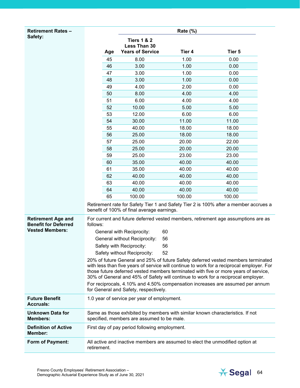| <b>Retirement Rates -</b>                                |          |                                               | Rate $(\%)$ |                                                                                                                                                                                                                                                                                                                                                            |  |
|----------------------------------------------------------|----------|-----------------------------------------------|-------------|------------------------------------------------------------------------------------------------------------------------------------------------------------------------------------------------------------------------------------------------------------------------------------------------------------------------------------------------------------|--|
| Safety:                                                  |          | <b>Tiers 1 &amp; 2</b>                        |             |                                                                                                                                                                                                                                                                                                                                                            |  |
|                                                          | Age      | Less Than 30<br><b>Years of Service</b>       | Tier 4      | Tier 5                                                                                                                                                                                                                                                                                                                                                     |  |
|                                                          | 45       | 8.00                                          | 1.00        | 0.00                                                                                                                                                                                                                                                                                                                                                       |  |
|                                                          | 46       | 3.00                                          | 1.00        | 0.00                                                                                                                                                                                                                                                                                                                                                       |  |
|                                                          | 47       | 3.00                                          | 1.00        | 0.00                                                                                                                                                                                                                                                                                                                                                       |  |
|                                                          | 48       | 3.00                                          | 1.00        | 0.00                                                                                                                                                                                                                                                                                                                                                       |  |
|                                                          | 49       | 4.00                                          | 2.00        | 0.00                                                                                                                                                                                                                                                                                                                                                       |  |
|                                                          | 50       | 8.00                                          | 4.00        | 4.00                                                                                                                                                                                                                                                                                                                                                       |  |
|                                                          | 51       | 6.00                                          | 4.00        | 4.00                                                                                                                                                                                                                                                                                                                                                       |  |
|                                                          | 52       | 10.00                                         | 5.00        | 5.00                                                                                                                                                                                                                                                                                                                                                       |  |
|                                                          | 53       | 12.00                                         | 6.00        | 6.00                                                                                                                                                                                                                                                                                                                                                       |  |
|                                                          | 54       | 30.00                                         | 11.00       | 11.00                                                                                                                                                                                                                                                                                                                                                      |  |
|                                                          | 55       | 40.00                                         | 18.00       | 18.00                                                                                                                                                                                                                                                                                                                                                      |  |
|                                                          | 56       | 25.00                                         | 18.00       | 18.00                                                                                                                                                                                                                                                                                                                                                      |  |
|                                                          | 57       | 25.00                                         | 20.00       | 22.00                                                                                                                                                                                                                                                                                                                                                      |  |
|                                                          | 58       | 25.00                                         | 20.00       | 20.00                                                                                                                                                                                                                                                                                                                                                      |  |
|                                                          | 59       | 25.00                                         | 23.00       | 23.00                                                                                                                                                                                                                                                                                                                                                      |  |
|                                                          | 60       | 35.00                                         | 40.00       | 40.00                                                                                                                                                                                                                                                                                                                                                      |  |
|                                                          | 61       | 35.00                                         | 40.00       | 40.00                                                                                                                                                                                                                                                                                                                                                      |  |
|                                                          | 62       | 40.00                                         | 40.00       | 40.00                                                                                                                                                                                                                                                                                                                                                      |  |
|                                                          | 63       | 40.00                                         | 40.00       | 40.00                                                                                                                                                                                                                                                                                                                                                      |  |
|                                                          | 64       | 40.00                                         | 40.00       | 40.00                                                                                                                                                                                                                                                                                                                                                      |  |
|                                                          | 65       | 100.00                                        | 100.00      | 100.00                                                                                                                                                                                                                                                                                                                                                     |  |
|                                                          |          | benefit of 100% of final average earnings.    |             | Retirement rate for Safety Tier 1 and Safety Tier 2 is 100% after a member accrues a                                                                                                                                                                                                                                                                       |  |
| <b>Retirement Age and</b><br><b>Benefit for Deferred</b> | follows: |                                               |             | For current and future deferred vested members, retirement age assumptions are as                                                                                                                                                                                                                                                                          |  |
| <b>Vested Members:</b>                                   |          | General with Reciprocity:                     | 60          |                                                                                                                                                                                                                                                                                                                                                            |  |
|                                                          |          | General without Reciprocity:                  | 56          |                                                                                                                                                                                                                                                                                                                                                            |  |
|                                                          |          | Safety with Reciprocity:                      | 56          |                                                                                                                                                                                                                                                                                                                                                            |  |
|                                                          |          | Safety without Reciprocity:                   | 52          |                                                                                                                                                                                                                                                                                                                                                            |  |
|                                                          |          |                                               |             | 20% of future General and 25% of future Safety deferred vested members terminated<br>with less than five years of service will continue to work for a reciprocal employer. For<br>those future deferred vested members terminated with five or more years of service,<br>30% of General and 45% of Safety will continue to work for a reciprocal employer. |  |
|                                                          |          | for General and Safety, respectively.         |             | For reciprocals, 4.10% and 4.50% compensation increases are assumed per annum                                                                                                                                                                                                                                                                              |  |
| <b>Future Benefit</b><br>Accruals:                       |          | 1.0 year of service per year of employment.   |             |                                                                                                                                                                                                                                                                                                                                                            |  |
| <b>Unknown Data for</b><br><b>Members:</b>               |          | specified, members are assumed to be male.    |             | Same as those exhibited by members with similar known characteristics. If not                                                                                                                                                                                                                                                                              |  |
| <b>Definition of Active</b><br><b>Member:</b>            |          | First day of pay period following employment. |             |                                                                                                                                                                                                                                                                                                                                                            |  |

**Form of Payment:** All active and inactive members are assumed to elect the unmodified option at retirement.